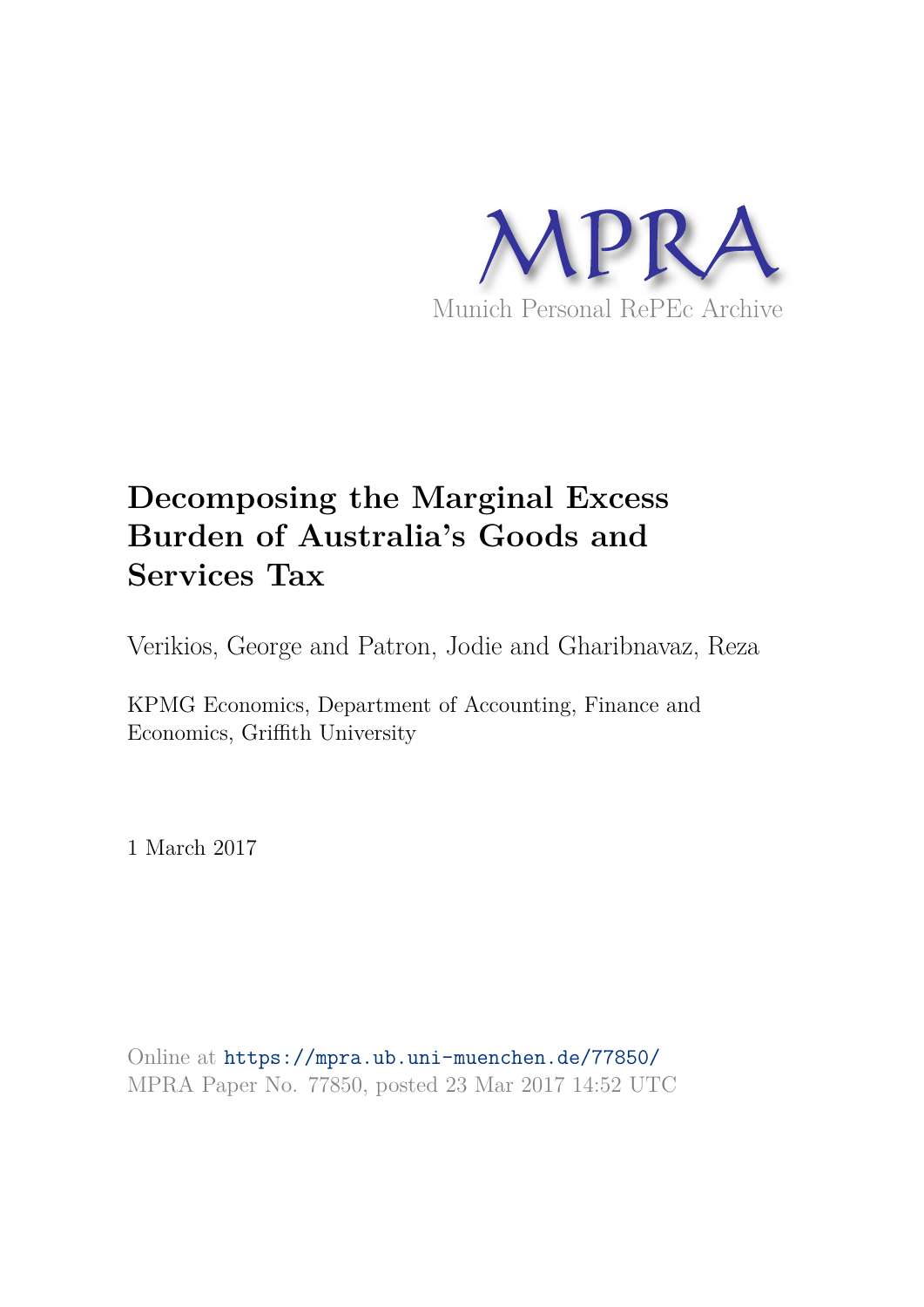

# **Decomposing the Marginal Excess Burden of Australia's Goods and Services Tax**

Verikios, George and Patron, Jodie and Gharibnavaz, Reza

KPMG Economics, Department of Accounting, Finance and Economics, Griffith University

1 March 2017

Online at https://mpra.ub.uni-muenchen.de/77850/ MPRA Paper No. 77850, posted 23 Mar 2017 14:52 UTC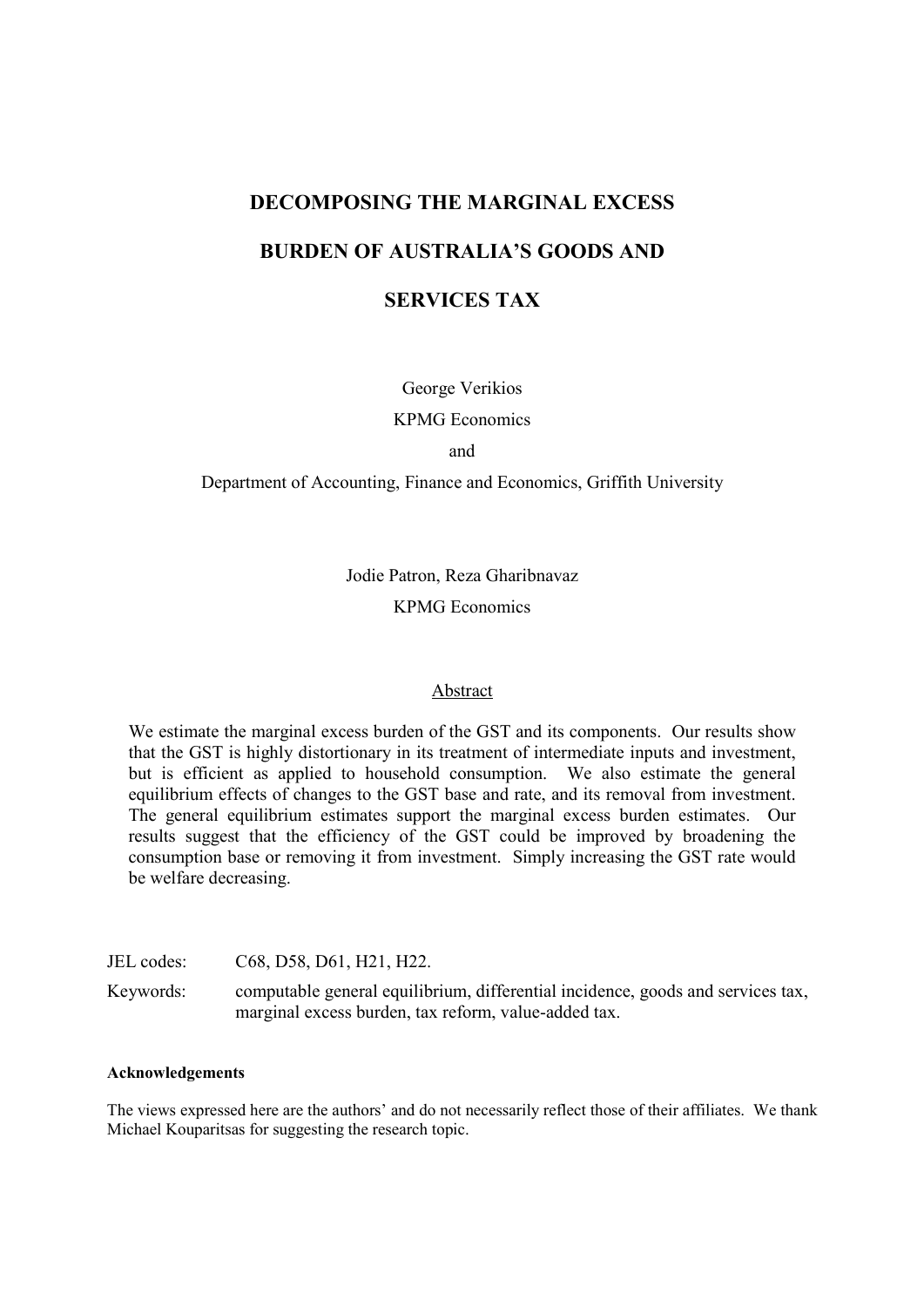# **DECOMPOSING THE MARGINAL EXCESS**

# **BURDEN OF AUSTRALIA'S GOODS AND**

# **SERVICES TAX**

George Verikios

**KPMG** Economics

and

Department of Accounting, Finance and Economics, Griffith University

Jodie Patron, Reza Gharibnavaz **KPMG** Economics

# Abstract

We estimate the marginal excess burden of the GST and its components. Our results show that the GST is highly distortionary in its treatment of intermediate inputs and investment, but is efficient as applied to household consumption. We also estimate the general equilibrium effects of changes to the GST base and rate, and its removal from investment. The general equilibrium estimates support the marginal excess burden estimates. Our results suggest that the efficiency of the GST could be improved by broadening the consumption base or removing it from investment. Simply increasing the GST rate would be welfare decreasing.

JEL codes: C68, D58, D61, H21, H22.

Keywords: computable general equilibrium, differential incidence, goods and services tax, marginal excess burden, tax reform, value-added tax.

# **Acknowledgements**

The views expressed here are the authors' and do not necessarily reflect those of their affiliates. We thank Michael Kouparitsas for suggesting the research topic.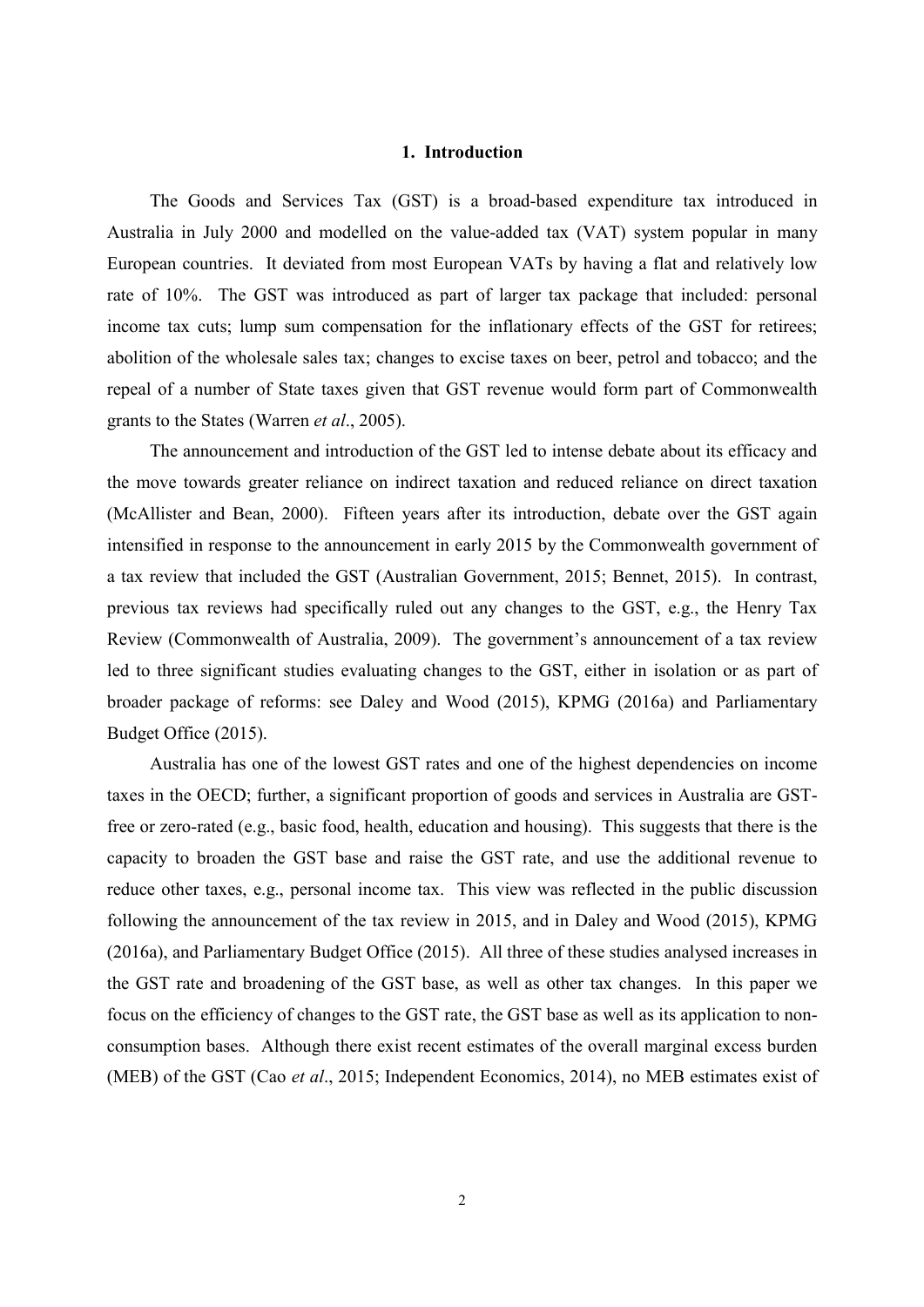# 1. Introduction

The Goods and Services Tax (GST) is a broad-based expenditure tax introduced in Australia in July 2000 and modelled on the value-added tax (VAT) system popular in many European countries. It deviated from most European VATs by having a flat and relatively low rate of 10%. The GST was introduced as part of larger tax package that included: personal income tax cuts; lump sum compensation for the inflationary effects of the GST for retirees; abolition of the wholesale sales tax; changes to excise taxes on beer, petrol and tobacco; and the repeal of a number of State taxes given that GST revenue would form part of Commonwealth grants to the States (Warren et al., 2005).

The announcement and introduction of the GST led to intense debate about its efficacy and the move towards greater reliance on indirect taxation and reduced reliance on direct taxation (McAllister and Bean, 2000). Fifteen years after its introduction, debate over the GST again intensified in response to the announcement in early 2015 by the Commonwealth government of a tax review that included the GST (Australian Government, 2015; Bennet, 2015). In contrast, previous tax reviews had specifically ruled out any changes to the GST, e.g., the Henry Tax Review (Commonwealth of Australia, 2009). The government's announcement of a tax review led to three significant studies evaluating changes to the GST, either in isolation or as part of broader package of reforms: see Daley and Wood (2015), KPMG (2016a) and Parliamentary Budget Office (2015).

Australia has one of the lowest GST rates and one of the highest dependencies on income taxes in the OECD; further, a significant proportion of goods and services in Australia are GSTfree or zero-rated (e.g., basic food, health, education and housing). This suggests that there is the capacity to broaden the GST base and raise the GST rate, and use the additional revenue to reduce other taxes, e.g., personal income tax. This view was reflected in the public discussion following the announcement of the tax review in 2015, and in Daley and Wood (2015), KPMG (2016a), and Parliamentary Budget Office (2015). All three of these studies analysed increases in the GST rate and broadening of the GST base, as well as other tax changes. In this paper we focus on the efficiency of changes to the GST rate, the GST base as well as its application to nonconsumption bases. Although there exist recent estimates of the overall marginal excess burden (MEB) of the GST (Cao et al., 2015; Independent Economics, 2014), no MEB estimates exist of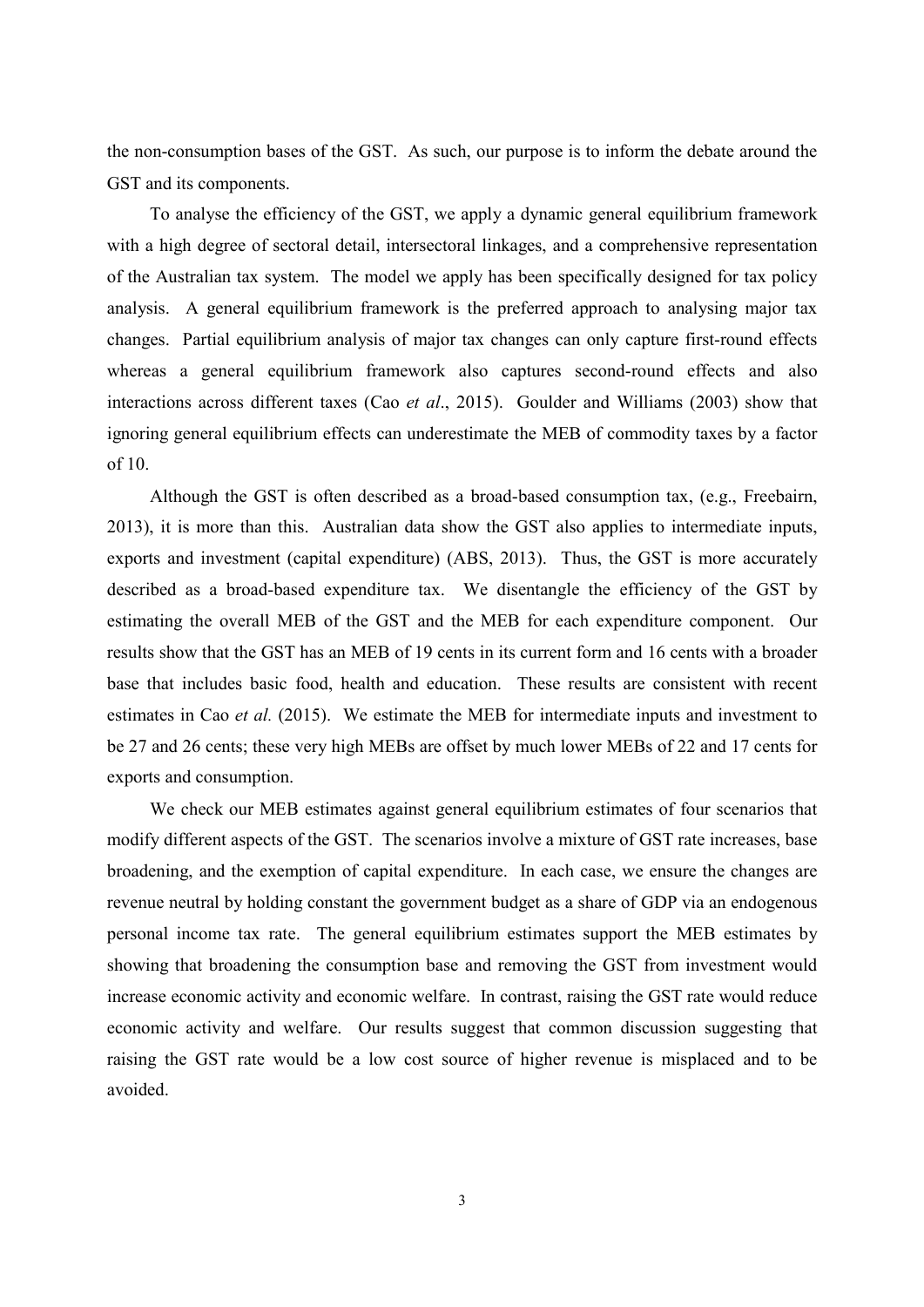the non-consumption bases of the GST. As such, our purpose is to inform the debate around the GST and its components.

To analyse the efficiency of the GST, we apply a dynamic general equilibrium framework with a high degree of sectoral detail, intersectoral linkages, and a comprehensive representation of the Australian tax system. The model we apply has been specifically designed for tax policy analysis. A general equilibrium framework is the preferred approach to analysing major tax changes. Partial equilibrium analysis of major tax changes can only capture first-round effects whereas a general equilibrium framework also captures second-round effects and also interactions across different taxes (Cao et al., 2015). Goulder and Williams (2003) show that ignoring general equilibrium effects can underestimate the MEB of commodity taxes by a factor of 10.

Although the GST is often described as a broad-based consumption tax,  $(e.g., Freebairn,$ 2013), it is more than this. Australian data show the GST also applies to intermediate inputs, exports and investment (capital expenditure) (ABS, 2013). Thus, the GST is more accurately described as a broad-based expenditure tax. We disentangle the efficiency of the GST by estimating the overall MEB of the GST and the MEB for each expenditure component. Our results show that the GST has an MEB of 19 cents in its current form and 16 cents with a broader base that includes basic food, health and education. These results are consistent with recent estimates in Cao et al. (2015). We estimate the MEB for intermediate inputs and investment to be 27 and 26 cents; these very high MEBs are offset by much lower MEBs of 22 and 17 cents for exports and consumption.

We check our MEB estimates against general equilibrium estimates of four scenarios that modify different aspects of the GST. The scenarios involve a mixture of GST rate increases, base broadening, and the exemption of capital expenditure. In each case, we ensure the changes are revenue neutral by holding constant the government budget as a share of GDP via an endogenous personal income tax rate. The general equilibrium estimates support the MEB estimates by showing that broadening the consumption base and removing the GST from investment would increase economic activity and economic welfare. In contrast, raising the GST rate would reduce economic activity and welfare. Our results suggest that common discussion suggesting that raising the GST rate would be a low cost source of higher revenue is misplaced and to be avoided.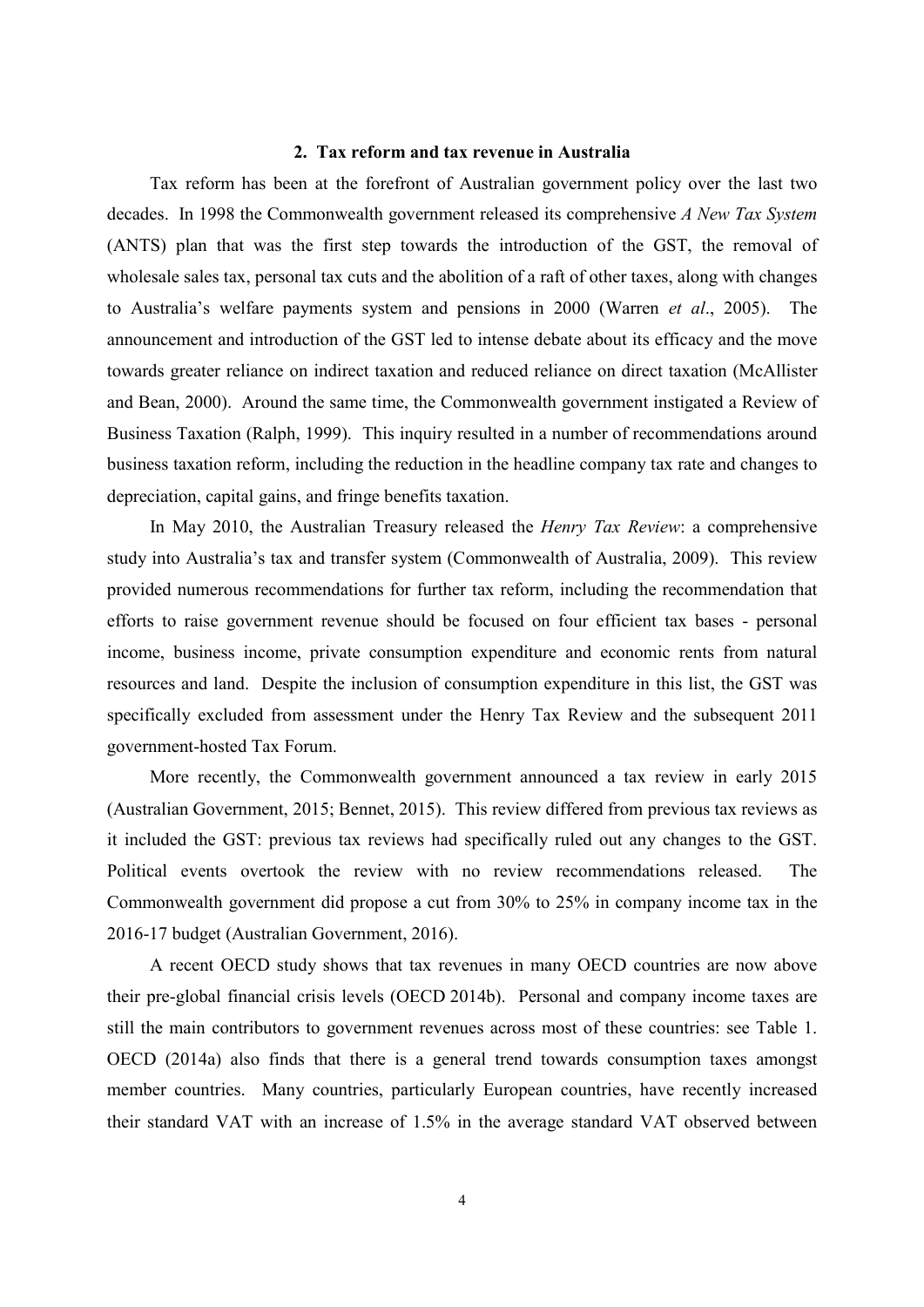# 2. Tax reform and tax revenue in Australia

Tax reform has been at the forefront of Australian government policy over the last two decades. In 1998 the Commonwealth government released its comprehensive A New Tax System (ANTS) plan that was the first step towards the introduction of the GST, the removal of wholesale sales tax, personal tax cuts and the abolition of a raft of other taxes, along with changes to Australia's welfare payments system and pensions in 2000 (Warren et al., 2005). The announcement and introduction of the GST led to intense debate about its efficacy and the move towards greater reliance on indirect taxation and reduced reliance on direct taxation (McAllister and Bean, 2000). Around the same time, the Commonwealth government instigated a Review of Business Taxation (Ralph, 1999). This inquiry resulted in a number of recommendations around business taxation reform, including the reduction in the headline company tax rate and changes to depreciation, capital gains, and fringe benefits taxation.

In May 2010, the Australian Treasury released the *Henry Tax Review*: a comprehensive study into Australia's tax and transfer system (Commonwealth of Australia, 2009). This review provided numerous recommendations for further tax reform, including the recommendation that efforts to raise government revenue should be focused on four efficient tax bases - personal income, business income, private consumption expenditure and economic rents from natural resources and land. Despite the inclusion of consumption expenditure in this list, the GST was specifically excluded from assessment under the Henry Tax Review and the subsequent 2011 government-hosted Tax Forum.

More recently, the Commonwealth government announced a tax review in early 2015 (Australian Government, 2015; Bennet, 2015). This review differed from previous tax reviews as it included the GST: previous tax reviews had specifically ruled out any changes to the GST. Political events overtook the review with no review recommendations released. The Commonwealth government did propose a cut from 30% to 25% in company income tax in the 2016-17 budget (Australian Government, 2016).

A recent OECD study shows that tax revenues in many OECD countries are now above their pre-global financial crisis levels (OECD 2014b). Personal and company income taxes are still the main contributors to government revenues across most of these countries: see Table 1. OECD (2014a) also finds that there is a general trend towards consumption taxes amongst member countries. Many countries, particularly European countries, have recently increased their standard VAT with an increase of 1.5% in the average standard VAT observed between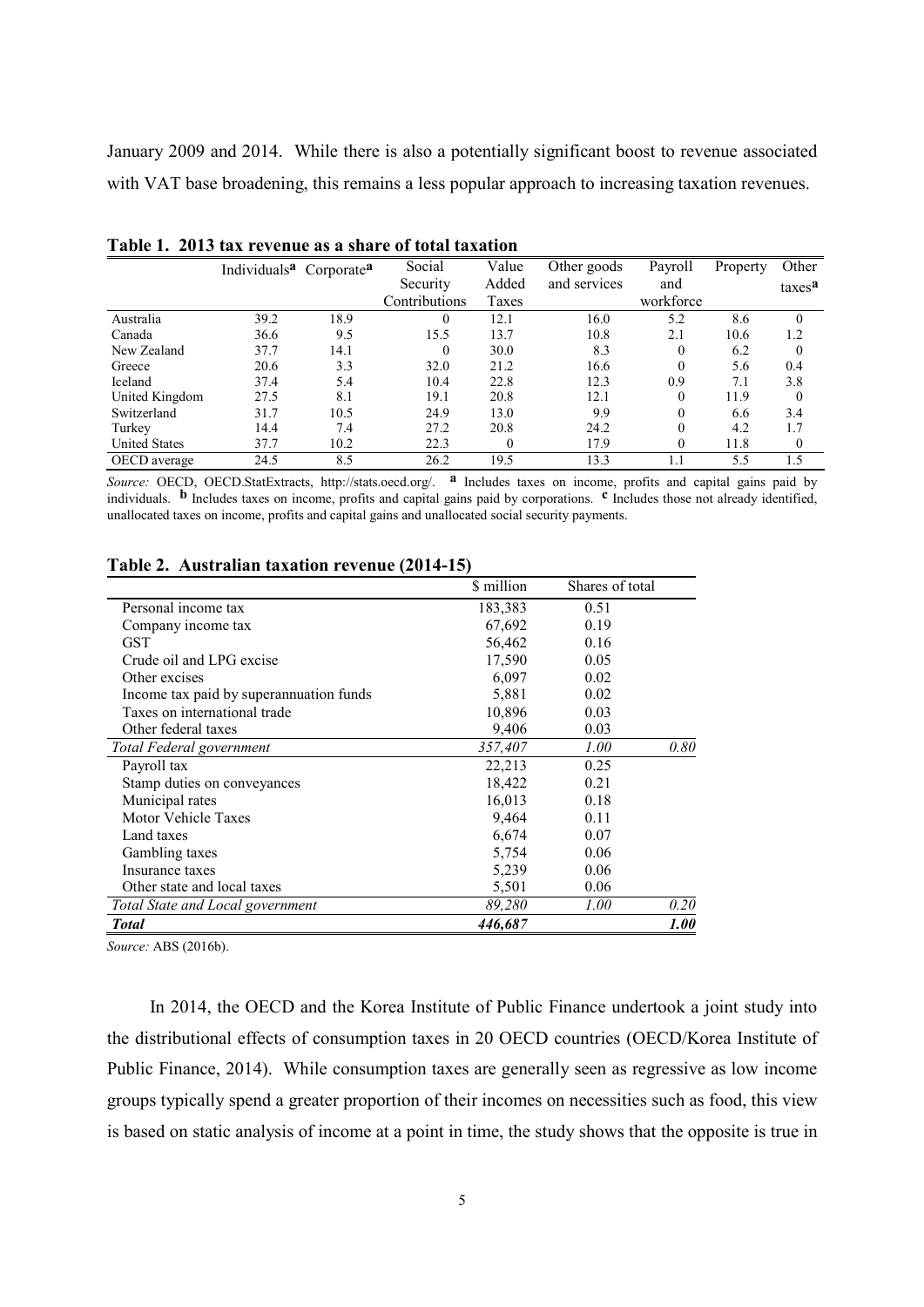January 2009 and 2014. While there is also a potentially significant boost to revenue associated with VAT base broadening, this remains a less popular approach to increasing taxation revenues.

|                      | Individuals <sup>a</sup> Corporate <sup>a</sup> |      | Social        | Value | Other goods  | Payroll   | Property | Other              |
|----------------------|-------------------------------------------------|------|---------------|-------|--------------|-----------|----------|--------------------|
|                      |                                                 |      | Security      | Added | and services | and       |          | taxes <sup>a</sup> |
|                      |                                                 |      | Contributions | Taxes |              | workforce |          |                    |
| Australia            | 39.2                                            | 18.9 |               | 12.1  | 16.0         | 5.2       | 8.6      |                    |
| Canada               | 36.6                                            | 9.5  | 15.5          | 13.7  | 10.8         | 2.1       | 10.6     | 1.2                |
| New Zealand          | 37.7                                            | 14.1 | $\theta$      | 30.0  | 8.3          | $\Omega$  | 6.2      | $\Omega$           |
| Greece               | 20.6                                            | 3.3  | 32.0          | 21.2  | 16.6         | $\theta$  | 5.6      | 0.4                |
| Iceland              | 37.4                                            | 5.4  | 10.4          | 22.8  | 12.3         | 0.9       | 7.1      | 3.8                |
| United Kingdom       | 27.5                                            | 8.1  | 19.1          | 20.8  | 12.1         | $\theta$  | 11.9     | $\Omega$           |
| Switzerland          | 31.7                                            | 10.5 | 24.9          | 13.0  | 9.9          | $\theta$  | 6.6      | 3.4                |
| Turkey               | 14.4                                            | 7.4  | 27.2          | 20.8  | 24.2         | $\theta$  | 4.2      | 1.7                |
| <b>United States</b> | 37.7                                            | 10.2 | 22.3          | 0     | 17.9         | $\Omega$  | 11.8     | $\bf{0}$           |
| OECD average         | 24.5                                            | 8.5  | 26.2          | 19.5  | 13.3         | 1.1       | 5.5      | 1.5                |

|  |  | Table 1. 2013 tax revenue as a share of total taxation |  |  |  |  |
|--|--|--------------------------------------------------------|--|--|--|--|
|--|--|--------------------------------------------------------|--|--|--|--|

Source: OECD, OECD.StatExtracts, http://stats.oecd.org/. <sup>a</sup> Includes taxes on income, profits and capital gains paid by individuals. **b** Includes taxes on income, profits and capital gains paid by corporations. <sup>c</sup> Includes those not already identified, unallocated taxes on income, profits and capital gains and unallocated social security payments.

|                                         | \$ million | Shares of total |      |
|-----------------------------------------|------------|-----------------|------|
| Personal income tax                     | 183,383    | 0.51            |      |
| Company income tax                      | 67,692     | 0.19            |      |
| <b>GST</b>                              | 56,462     | 0.16            |      |
| Crude oil and LPG excise                | 17,590     | 0.05            |      |
| Other excises                           | 6,097      | 0.02            |      |
| Income tax paid by superannuation funds | 5,881      | 0.02            |      |
| Taxes on international trade            | 10,896     | 0.03            |      |
| Other federal taxes                     | 9,406      | 0.03            |      |
| Total Federal government                | 357,407    | 1.00            | 0.80 |
| Payroll tax                             | 22,213     | 0.25            |      |
| Stamp duties on conveyances             | 18,422     | 0.21            |      |
| Municipal rates                         | 16,013     | 0.18            |      |
| Motor Vehicle Taxes                     | 9,464      | 0.11            |      |
| Land taxes                              | 6,674      | 0.07            |      |
| Gambling taxes                          | 5,754      | 0.06            |      |
| Insurance taxes                         | 5,239      | 0.06            |      |
| Other state and local taxes             | 5,501      | 0.06            |      |
| Total State and Local government        | 89,280     | 1.00            | 0.20 |
| <b>Total</b>                            | 446,687    |                 | 1.00 |

# Table 2. Australian taxation revenue (2014-15)

Source: ABS (2016b).

In 2014, the OECD and the Korea Institute of Public Finance undertook a joint study into the distributional effects of consumption taxes in 20 OECD countries (OECD/Korea Institute of Public Finance, 2014). While consumption taxes are generally seen as regressive as low income groups typically spend a greater proportion of their incomes on necessities such as food, this view is based on static analysis of income at a point in time, the study shows that the opposite is true in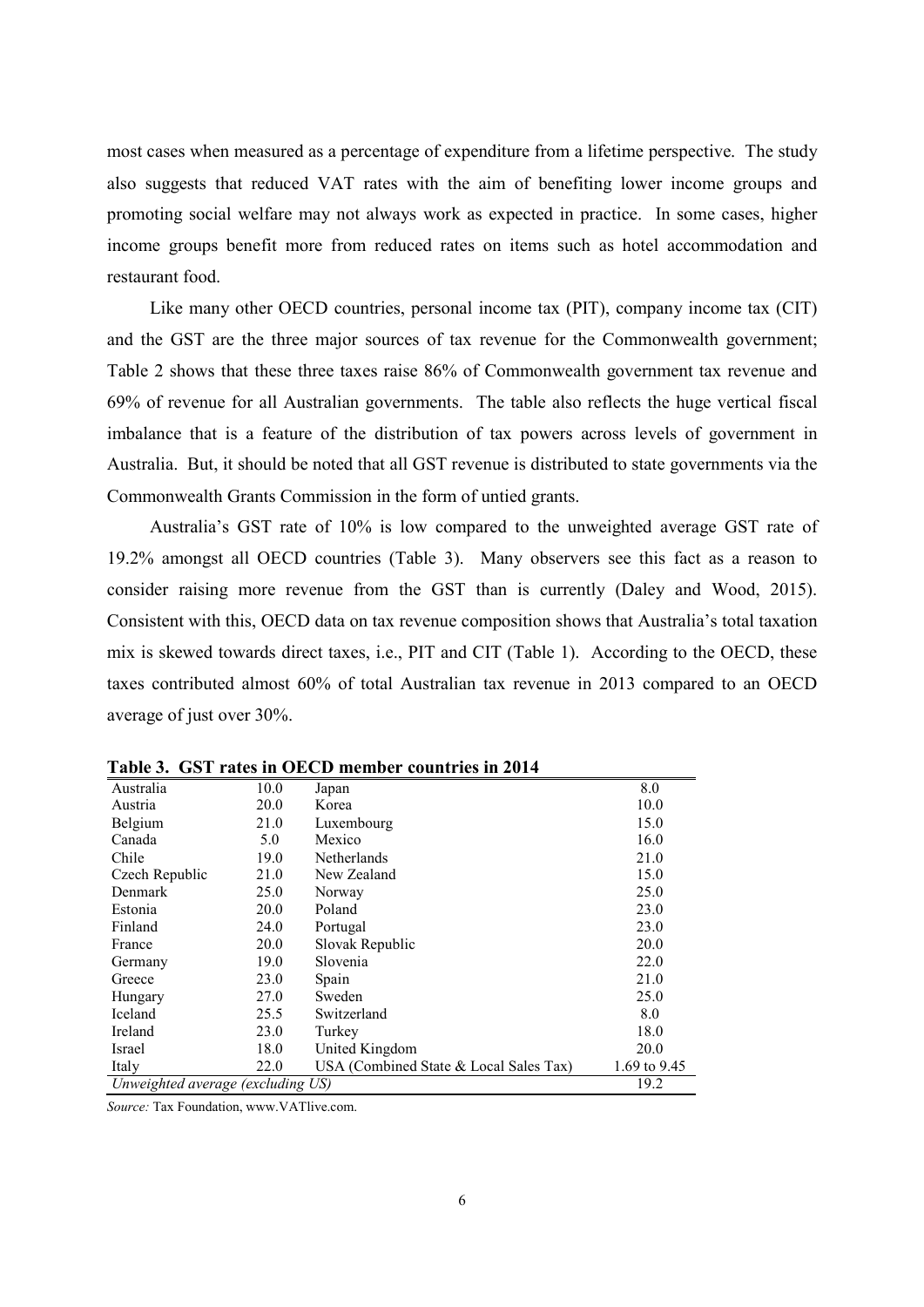most cases when measured as a percentage of expenditure from a lifetime perspective. The study also suggests that reduced VAT rates with the aim of benefiting lower income groups and promoting social welfare may not always work as expected in practice. In some cases, higher income groups benefit more from reduced rates on items such as hotel accommodation and restaurant food.

Like many other OECD countries, personal income tax (PIT), company income tax (CIT) and the GST are the three major sources of tax revenue for the Commonwealth government; Table 2 shows that these three taxes raise 86% of Commonwealth government tax revenue and 69% of revenue for all Australian governments. The table also reflects the huge vertical fiscal imbalance that is a feature of the distribution of tax powers across levels of government in Australia. But, it should be noted that all GST revenue is distributed to state governments via the Commonwealth Grants Commission in the form of untied grants.

Australia's GST rate of 10% is low compared to the unweighted average GST rate of 19.2% amongst all OECD countries (Table 3). Many observers see this fact as a reason to consider raising more revenue from the GST than is currently (Daley and Wood, 2015). Consistent with this, OECD data on tax revenue composition shows that Australia's total taxation mix is skewed towards direct taxes, i.e., PIT and CIT (Table 1). According to the OECD, these taxes contributed almost 60% of total Australian tax revenue in 2013 compared to an OECD average of just over 30%.

| 1 UUIV VI                         |      | - ODT TAILS IN OLICD INCHIDEL COUNTILES IN FUTT |              |
|-----------------------------------|------|-------------------------------------------------|--------------|
| Australia                         | 10.0 | Japan                                           | 8.0          |
| Austria                           | 20.0 | Korea                                           | 10.0         |
| Belgium                           | 21.0 | Luxembourg                                      | 15.0         |
| Canada                            | 5.0  | Mexico                                          | 16.0         |
| Chile                             | 19.0 | Netherlands                                     | 21.0         |
| Czech Republic                    | 21.0 | New Zealand                                     | 15.0         |
| Denmark                           | 25.0 | Norway                                          | 25.0         |
| Estonia                           | 20.0 | Poland                                          | 23.0         |
| Finland                           | 24.0 | Portugal                                        | 23.0         |
| France                            | 20.0 | Slovak Republic                                 | 20.0         |
| Germany                           | 19.0 | Slovenia                                        | 22.0         |
| Greece                            | 23.0 | Spain                                           | 21.0         |
| Hungary                           | 27.0 | Sweden                                          | 25.0         |
| Iceland                           | 25.5 | Switzerland                                     | 8.0          |
| Ireland                           | 23.0 | Turkey                                          | 18.0         |
| Israel                            | 18.0 | United Kingdom                                  | 20.0         |
| Italy                             | 22.0 | USA (Combined State & Local Sales Tax)          | 1.69 to 9.45 |
| Unweighted average (excluding US) |      |                                                 | 19.2         |

Table 3 CST rates in OECD member countries in 2014

Source: Tax Foundation, www.VATlive.com.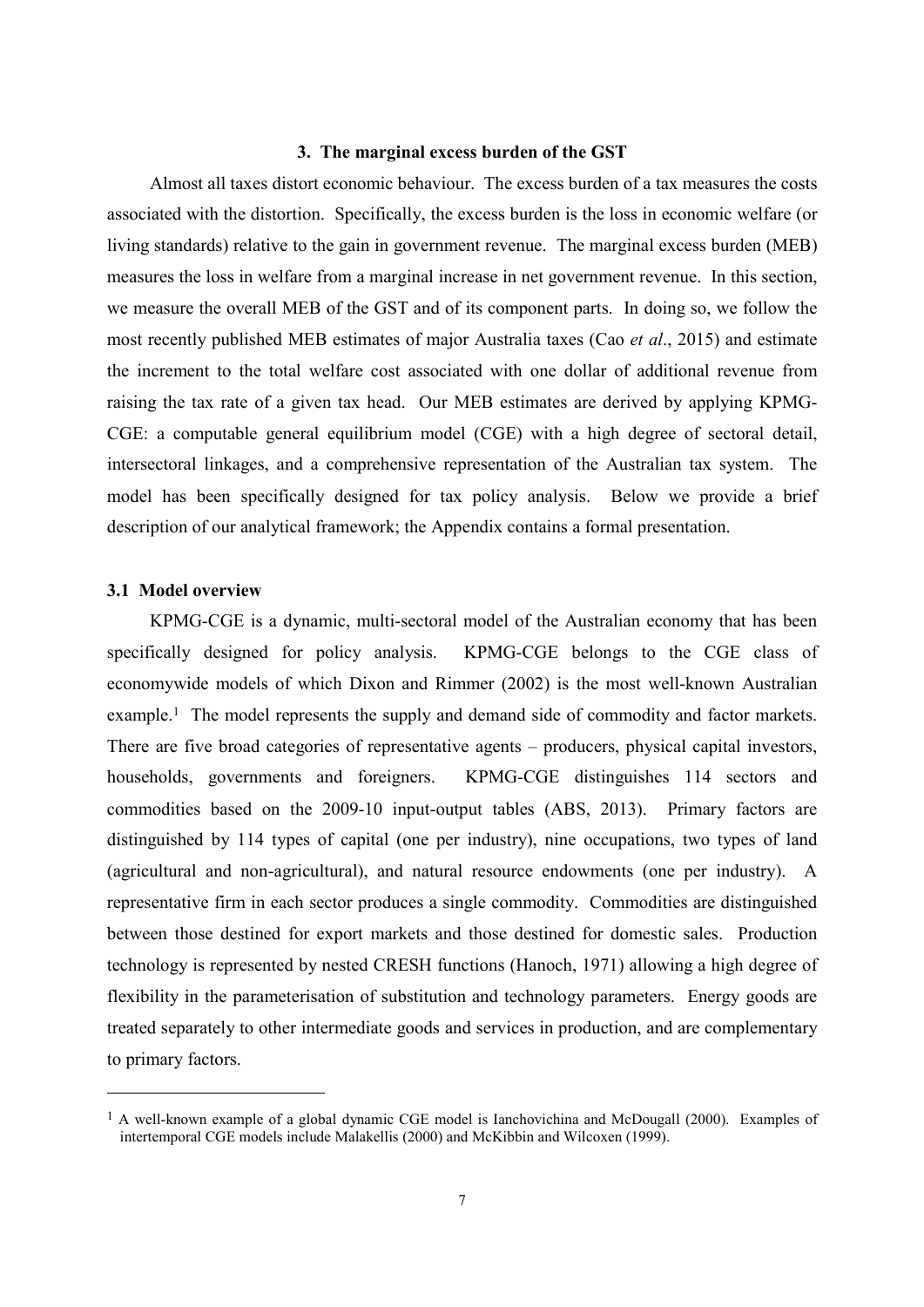# 3. The marginal excess burden of the GST

Almost all taxes distort economic behaviour. The excess burden of a tax measures the costs associated with the distortion. Specifically, the excess burden is the loss in economic welfare (or living standards) relative to the gain in government revenue. The marginal excess burden (MEB) measures the loss in welfare from a marginal increase in net government revenue. In this section, we measure the overall MEB of the GST and of its component parts. In doing so, we follow the most recently published MEB estimates of major Australia taxes (Cao et al., 2015) and estimate the increment to the total welfare cost associated with one dollar of additional revenue from raising the tax rate of a given tax head. Our MEB estimates are derived by applying KPMG-CGE: a computable general equilibrium model (CGE) with a high degree of sectoral detail, intersectoral linkages, and a comprehensive representation of the Australian tax system. The model has been specifically designed for tax policy analysis. Below we provide a brief description of our analytical framework; the Appendix contains a formal presentation.

# 3.1 Model overview

KPMG-CGE is a dynamic, multi-sectoral model of the Australian economy that has been specifically designed for policy analysis. KPMG-CGE belongs to the CGE class of economywide models of which Dixon and Rimmer (2002) is the most well-known Australian example.<sup>1</sup> The model represents the supply and demand side of commodity and factor markets. There are five broad categories of representative agents – producers, physical capital investors, households, governments and foreigners. KPMG-CGE distinguishes 114 sectors and commodities based on the 2009-10 input-output tables (ABS, 2013). Primary factors are distinguished by 114 types of capital (one per industry), nine occupations, two types of land (agricultural and non-agricultural), and natural resource endowments (one per industry). A representative firm in each sector produces a single commodity. Commodities are distinguished between those destined for export markets and those destined for domestic sales. Production technology is represented by nested CRESH functions (Hanoch, 1971) allowing a high degree of flexibility in the parameterisation of substitution and technology parameters. Energy goods are treated separately to other intermediate goods and services in production, and are complementary to primary factors.

<sup>&</sup>lt;sup>1</sup> A well-known example of a global dynamic CGE model is Ianchovichina and McDougall (2000). Examples of intertemporal CGE models include Malakellis (2000) and McKibbin and Wilcoxen (1999).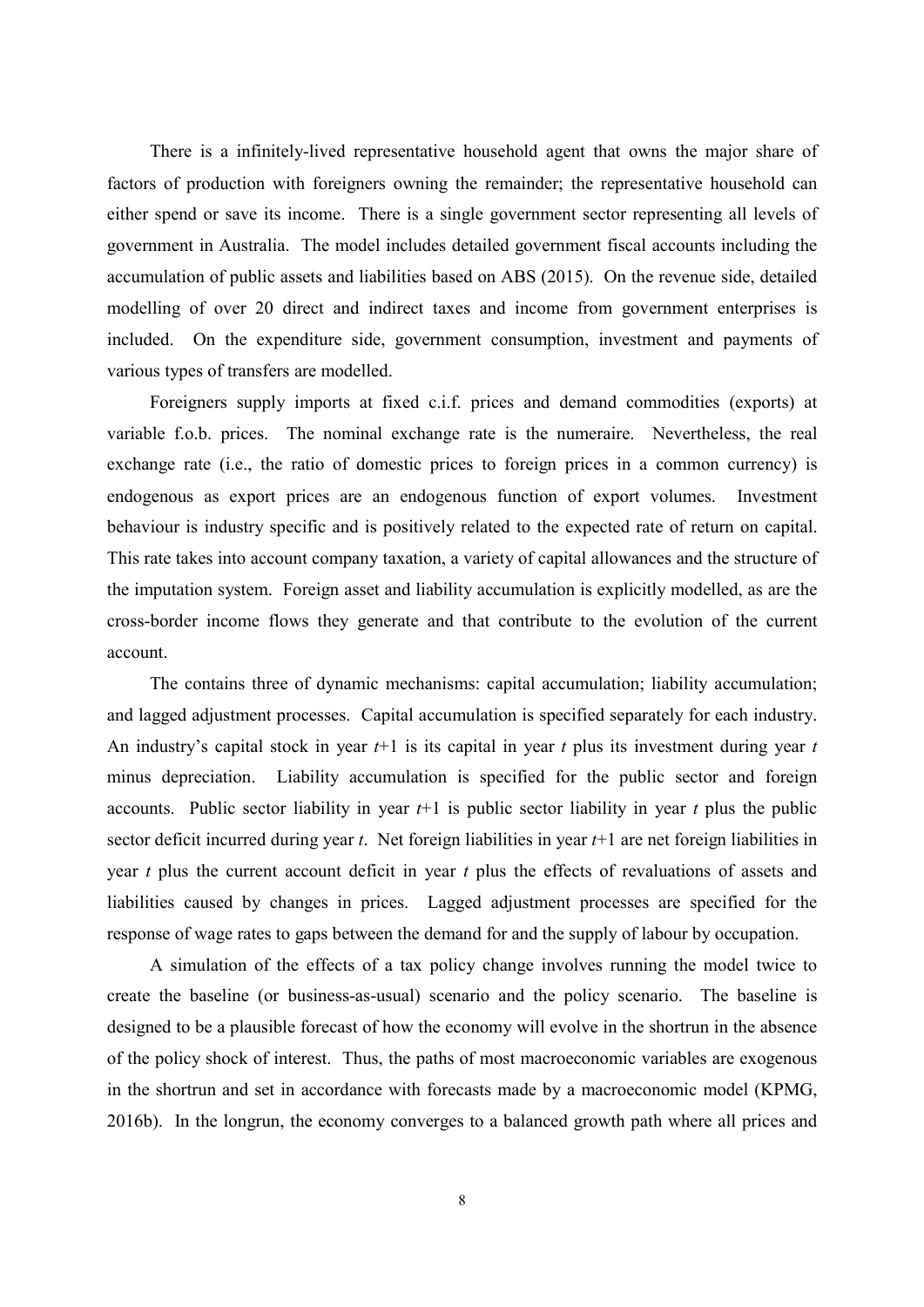There is a infinitely-lived representative household agent that owns the major share of factors of production with foreigners owning the remainder; the representative household can either spend or save its income. There is a single government sector representing all levels of government in Australia. The model includes detailed government fiscal accounts including the accumulation of public assets and liabilities based on ABS (2015). On the revenue side, detailed modelling of over 20 direct and indirect taxes and income from government enterprises is included. On the expenditure side, government consumption, investment and payments of various types of transfers are modelled.

Foreigners supply imports at fixed c.i.f. prices and demand commodities (exports) at variable f.o.b. prices. The nominal exchange rate is the numeraire. Nevertheless, the real exchange rate (i.e., the ratio of domestic prices to foreign prices in a common currency) is endogenous as export prices are an endogenous function of export volumes. Investment behaviour is industry specific and is positively related to the expected rate of return on capital. This rate takes into account company taxation, a variety of capital allowances and the structure of the imputation system. Foreign asset and liability accumulation is explicitly modelled, as are the cross-border income flows they generate and that contribute to the evolution of the current account.

The contains three of dynamic mechanisms: capital accumulation; liability accumulation; and lagged adjustment processes. Capital accumulation is specified separately for each industry. An industry's capital stock in year  $t+1$  is its capital in year t plus its investment during year t minus depreciation. Liability accumulation is specified for the public sector and foreign accounts. Public sector liability in year  $t+1$  is public sector liability in year t plus the public sector deficit incurred during year  $t$ . Net foreign liabilities in year  $t+1$  are net foreign liabilities in year  $t$  plus the current account deficit in year  $t$  plus the effects of revaluations of assets and liabilities caused by changes in prices. Lagged adjustment processes are specified for the response of wage rates to gaps between the demand for and the supply of labour by occupation.

A simulation of the effects of a tax policy change involves running the model twice to create the baseline (or business-as-usual) scenario and the policy scenario. The baseline is designed to be a plausible forecast of how the economy will evolve in the shortrun in the absence of the policy shock of interest. Thus, the paths of most macroeconomic variables are exogenous in the shortrun and set in accordance with forecasts made by a macroeconomic model (KPMG, 2016b). In the longrun, the economy converges to a balanced growth path where all prices and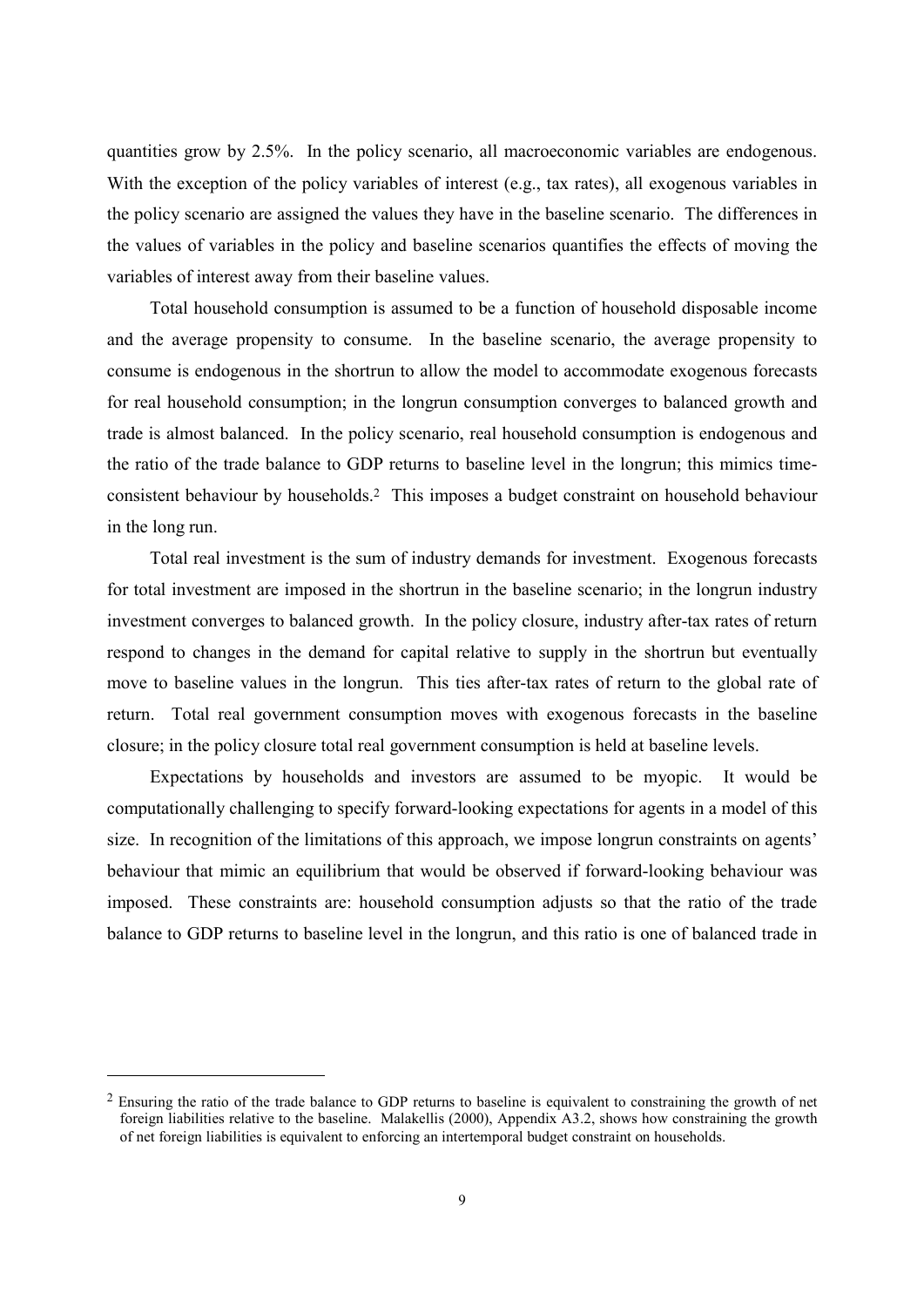quantities grow by 2.5%. In the policy scenario, all macroeconomic variables are endogenous. With the exception of the policy variables of interest (e.g., tax rates), all exogenous variables in the policy scenario are assigned the values they have in the baseline scenario. The differences in the values of variables in the policy and baseline scenarios quantifies the effects of moving the variables of interest away from their baseline values.

Total household consumption is assumed to be a function of household disposable income and the average propensity to consume. In the baseline scenario, the average propensity to consume is endogenous in the shortrun to allow the model to accommodate exogenous forecasts for real household consumption; in the longrun consumption converges to balanced growth and trade is almost balanced. In the policy scenario, real household consumption is endogenous and the ratio of the trade balance to GDP returns to baseline level in the longrun; this mimics timeconsistent behaviour by households.<sup>2</sup> This imposes a budget constraint on household behaviour in the long run.

Total real investment is the sum of industry demands for investment. Exogenous forecasts for total investment are imposed in the shortrun in the baseline scenario; in the longrun industry investment converges to balanced growth. In the policy closure, industry after-tax rates of return respond to changes in the demand for capital relative to supply in the shortrun but eventually move to baseline values in the longrun. This ties after-tax rates of return to the global rate of return. Total real government consumption moves with exogenous forecasts in the baseline closure; in the policy closure total real government consumption is held at baseline levels.

Expectations by households and investors are assumed to be myopic. It would be computationally challenging to specify forward-looking expectations for agents in a model of this size. In recognition of the limitations of this approach, we impose longrun constraints on agents' behaviour that mimic an equilibrium that would be observed if forward-looking behaviour was imposed. These constraints are: household consumption adjusts so that the ratio of the trade balance to GDP returns to baseline level in the longrun, and this ratio is one of balanced trade in

<sup>&</sup>lt;sup>2</sup> Ensuring the ratio of the trade balance to GDP returns to baseline is equivalent to constraining the growth of net foreign liabilities relative to the baseline. Malakellis (2000), Appendix A3.2, shows how constraining the growth of net foreign liabilities is equivalent to enforcing an intertemporal budget constraint on households.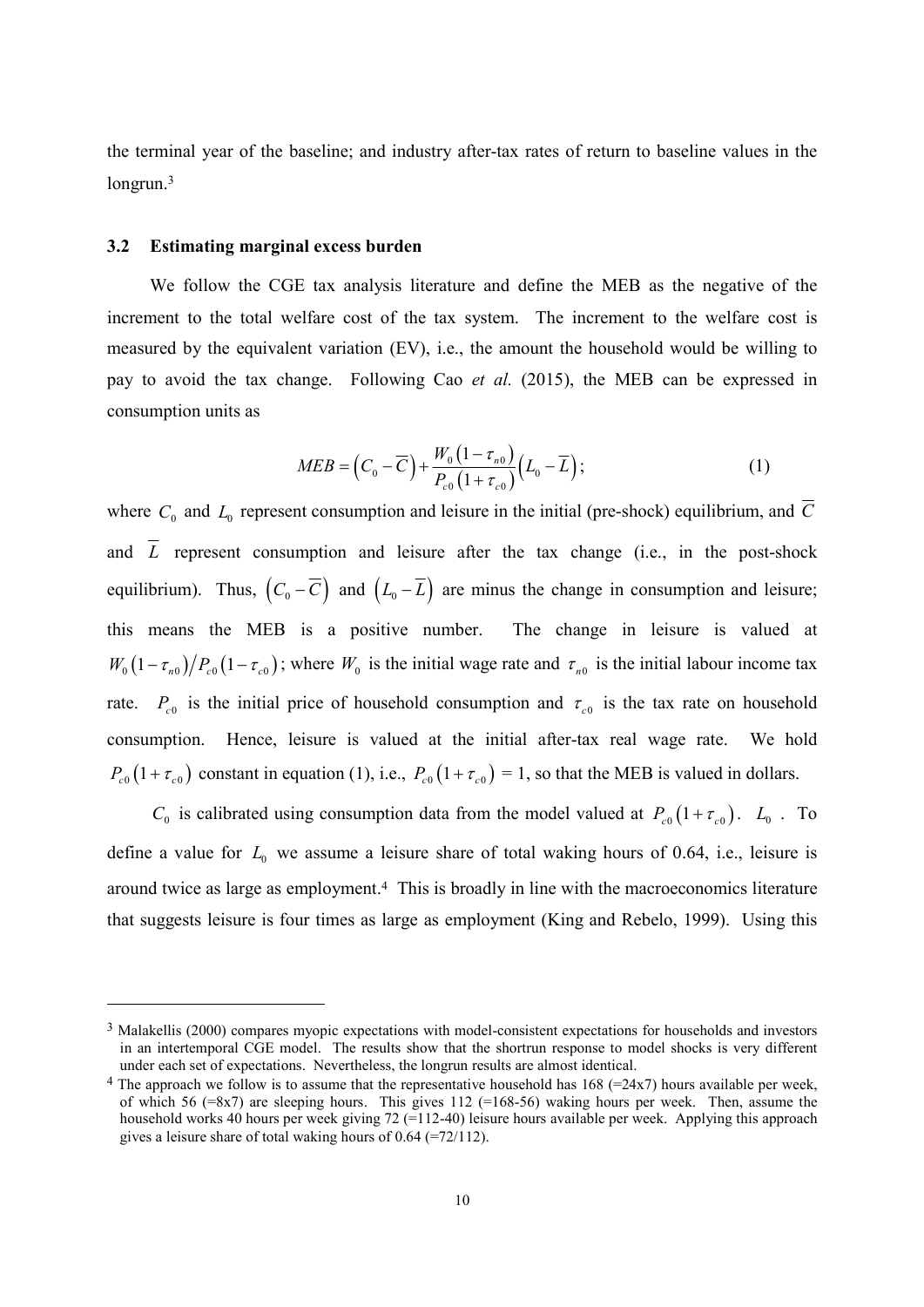the terminal year of the baseline; and industry after-tax rates of return to baseline values in the longrun. $3$ 

#### $3.2$ **Estimating marginal excess burden**

We follow the CGE tax analysis literature and define the MEB as the negative of the increment to the total welfare cost of the tax system. The increment to the welfare cost is measured by the equivalent variation (EV), i.e., the amount the household would be willing to pay to avoid the tax change. Following Cao et al. (2015), the MEB can be expressed in consumption units as

$$
MED = (C_0 - \overline{C}) + \frac{W_0 (1 - \tau_{n0})}{P_{c0} (1 + \tau_{c0})} (L_0 - \overline{L});
$$
\n(1)

where  $C_0$  and  $L_0$  represent consumption and leisure in the initial (pre-shock) equilibrium, and  $\overline{C}$ and  $\overline{L}$  represent consumption and leisure after the tax change (i.e., in the post-shock equilibrium). Thus,  $(C_0 - \overline{C})$  and  $(L_0 - \overline{L})$  are minus the change in consumption and leisure; this means the MEB is a positive number. The change in leisure is valued at  $W_0(1-\tau_{n0})/P_{c0}(1-\tau_{c0})$ ; where  $W_0$  is the initial wage rate and  $\tau_{n0}$  is the initial labour income tax rate.  $P_{c0}$  is the initial price of household consumption and  $\tau_{c0}$  is the tax rate on household consumption. Hence, leisure is valued at the initial after-tax real wage rate. We hold  $P_{c0}(1+\tau_{c0})$  constant in equation (1), i.e.,  $P_{c0}(1+\tau_{c0})=1$ , so that the MEB is valued in dollars.

 $C_0$  is calibrated using consumption data from the model valued at  $P_{c0}(1+\tau_{c0})$ .  $L_0$ . To define a value for  $L_0$  we assume a leisure share of total waking hours of 0.64, i.e., leisure is around twice as large as employment.<sup>4</sup> This is broadly in line with the macroeconomics literature that suggests leisure is four times as large as employment (King and Rebelo, 1999). Using this

<sup>&</sup>lt;sup>3</sup> Malakellis (2000) compares myopic expectations with model-consistent expectations for households and investors in an intertemporal CGE model. The results show that the shortrun response to model shocks is very different under each set of expectations. Nevertheless, the longrun results are almost identical.

<sup>&</sup>lt;sup>4</sup> The approach we follow is to assume that the representative household has  $168$  (=24x7) hours available per week, of which 56 (=8x7) are sleeping hours. This gives 112 (=168-56) waking hours per week. Then, assume the household works 40 hours per week giving 72 (=112-40) leisure hours available per week. Applying this approach gives a leisure share of total waking hours of  $0.64$  (=72/112).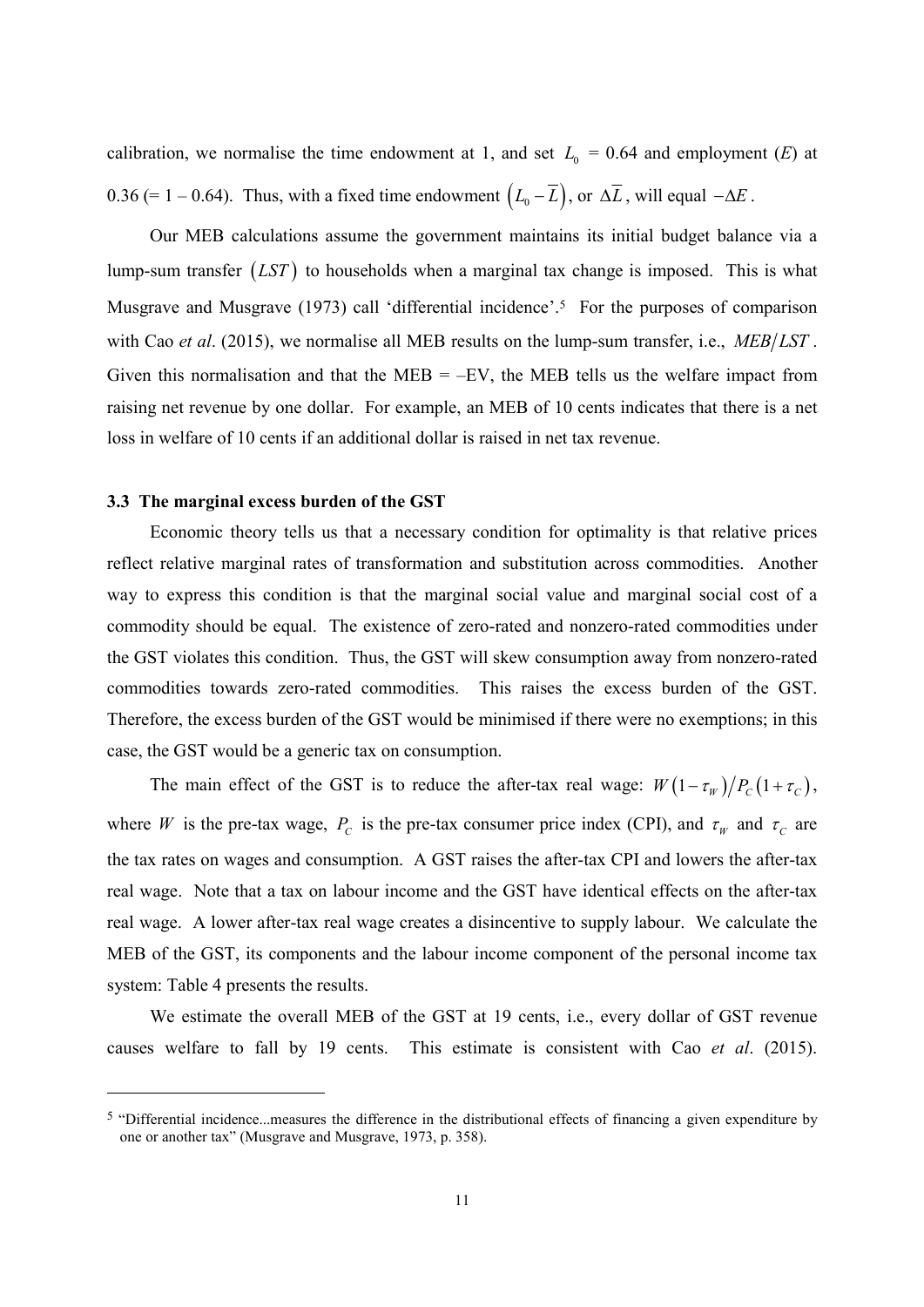calibration, we normalise the time endowment at 1, and set  $L_0 = 0.64$  and employment (E) at 0.36 (= 1 – 0.64). Thus, with a fixed time endowment  $(L_0 - \overline{L})$ , or  $\Delta \overline{L}$ , will equal  $-\Delta E$ .

Our MEB calculations assume the government maintains its initial budget balance via a lump-sum transfer  $(LST)$  to households when a marginal tax change is imposed. This is what Musgrave and Musgrave (1973) call 'differential incidence'.<sup>5</sup> For the purposes of comparison with Cao et al. (2015), we normalise all MEB results on the lump-sum transfer, i.e.,  $MEB/LST$ . Given this normalisation and that the MEB =  $-EV$ , the MEB tells us the welfare impact from raising net revenue by one dollar. For example, an MEB of 10 cents indicates that there is a net loss in welfare of 10 cents if an additional dollar is raised in net tax revenue.

# 3.3 The marginal excess burden of the GST

Economic theory tells us that a necessary condition for optimality is that relative prices reflect relative marginal rates of transformation and substitution across commodities. Another way to express this condition is that the marginal social value and marginal social cost of a commodity should be equal. The existence of zero-rated and nonzero-rated commodities under the GST violates this condition. Thus, the GST will skew consumption away from nonzero-rated commodities towards zero-rated commodities. This raises the excess burden of the GST. Therefore, the excess burden of the GST would be minimised if there were no exemptions; in this case, the GST would be a generic tax on consumption.

The main effect of the GST is to reduce the after-tax real wage:  $W(1 - \tau_w)/P_c(1 + \tau_c)$ , where W is the pre-tax wage,  $P_c$  is the pre-tax consumer price index (CPI), and  $\tau_w$  and  $\tau_c$  are the tax rates on wages and consumption. A GST raises the after-tax CPI and lowers the after-tax real wage. Note that a tax on labour income and the GST have identical effects on the after-tax real wage. A lower after-tax real wage creates a disincentive to supply labour. We calculate the MEB of the GST, its components and the labour income component of the personal income tax system: Table 4 presents the results.

We estimate the overall MEB of the GST at 19 cents, i.e., every dollar of GST revenue causes welfare to fall by 19 cents. This estimate is consistent with Cao et al. (2015).

<sup>&</sup>lt;sup>5</sup> "Differential incidence...measures the difference in the distributional effects of financing a given expenditure by one or another tax" (Musgrave and Musgrave, 1973, p. 358).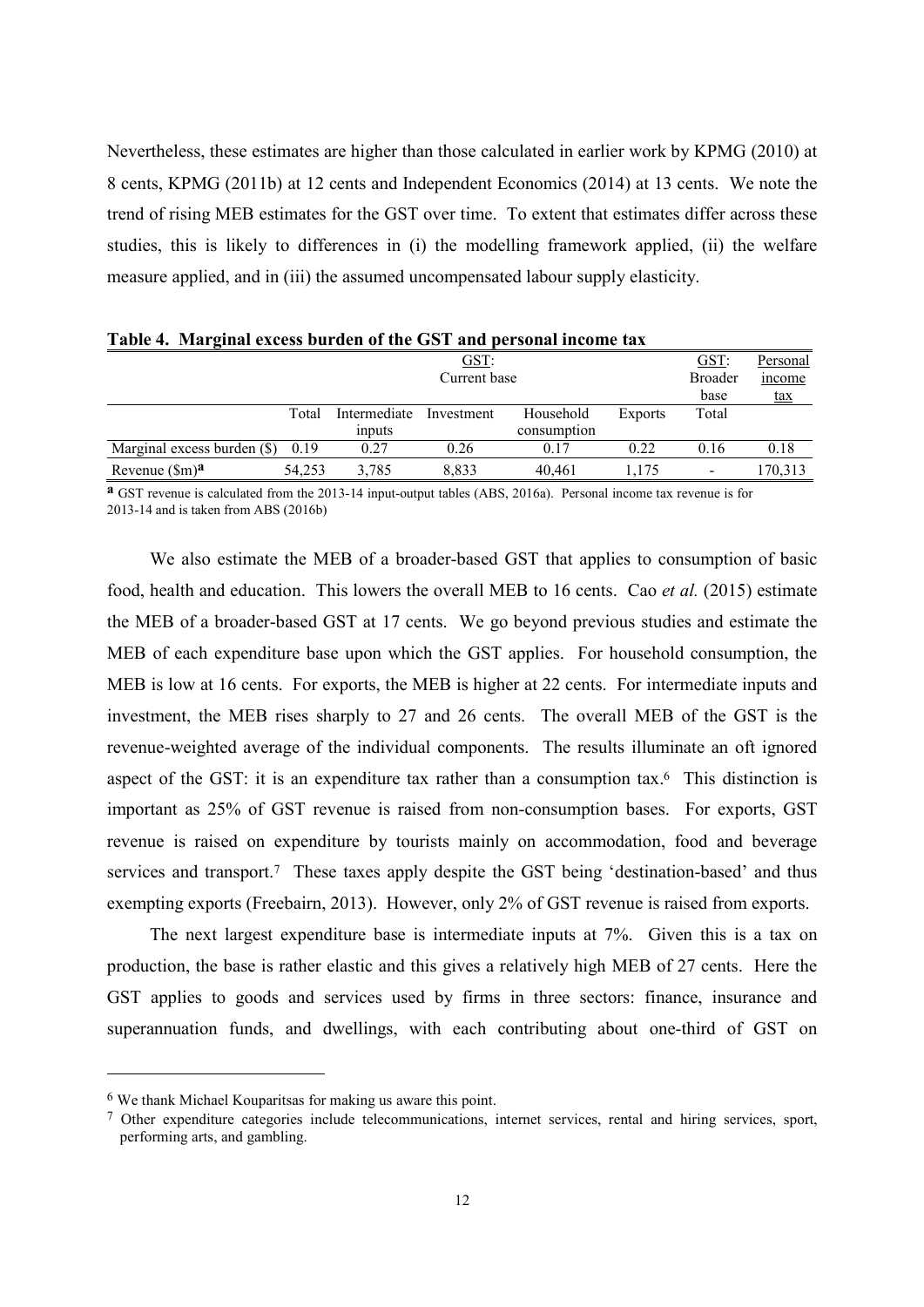Nevertheless, these estimates are higher than those calculated in earlier work by KPMG (2010) at 8 cents, KPMG (2011b) at 12 cents and Independent Economics (2014) at 13 cents. We note the trend of rising MEB estimates for the GST over time. To extent that estimates differ across these studies, this is likely to differences in (i) the modelling framework applied, (ii) the welfare measure applied, and in (iii) the assumed uncompensated labour supply elasticity.

| GST:                        |              |              |            |             |                | GST:                     | Personal   |
|-----------------------------|--------------|--------------|------------|-------------|----------------|--------------------------|------------|
|                             | Current base |              |            |             |                |                          | income     |
|                             |              |              |            |             |                | base                     | <u>tax</u> |
|                             | Total        | Intermediate | Investment | Household   | <b>Exports</b> | Total                    |            |
|                             |              | inputs       |            | consumption |                |                          |            |
| Marginal excess burden (\$) | 0.19         | 0.27         | 0.26       | 0.17        | 0.22           | 0.16                     | 0.18       |
| Revenue $(\text{Sm})^a$     | 54.253       | 3.785        | 8.833      | 40.461      | .175           | $\overline{\phantom{0}}$ | 170,313    |

Table 4. Marginal excess burden of the GST and personal income tax

**a** GST revenue is calculated from the 2013-14 input-output tables (ABS, 2016a). Personal income tax revenue is for 2013-14 and is taken from ABS (2016b)

We also estimate the MEB of a broader-based GST that applies to consumption of basic food, health and education. This lowers the overall MEB to 16 cents. Cao et al. (2015) estimate the MEB of a broader-based GST at 17 cents. We go beyond previous studies and estimate the MEB of each expenditure base upon which the GST applies. For household consumption, the MEB is low at 16 cents. For exports, the MEB is higher at 22 cents. For intermediate inputs and investment, the MEB rises sharply to 27 and 26 cents. The overall MEB of the GST is the revenue-weighted average of the individual components. The results illuminate an oft ignored aspect of the GST: it is an expenditure tax rather than a consumption tax.<sup>6</sup> This distinction is important as 25% of GST revenue is raised from non-consumption bases. For exports, GST revenue is raised on expenditure by tourists mainly on accommodation, food and beverage services and transport.<sup>7</sup> These taxes apply despite the GST being 'destination-based' and thus exempting exports (Freebairn, 2013). However, only 2% of GST revenue is raised from exports.

The next largest expenditure base is intermediate inputs at 7%. Given this is a tax on production, the base is rather elastic and this gives a relatively high MEB of 27 cents. Here the GST applies to goods and services used by firms in three sectors: finance, insurance and superannuation funds, and dwellings, with each contributing about one-third of GST on

<sup>&</sup>lt;sup>6</sup> We thank Michael Kouparits as for making us aware this point.

<sup>7</sup> Other expenditure categories include telecommunications, internet services, rental and hiring services, sport, performing arts, and gambling.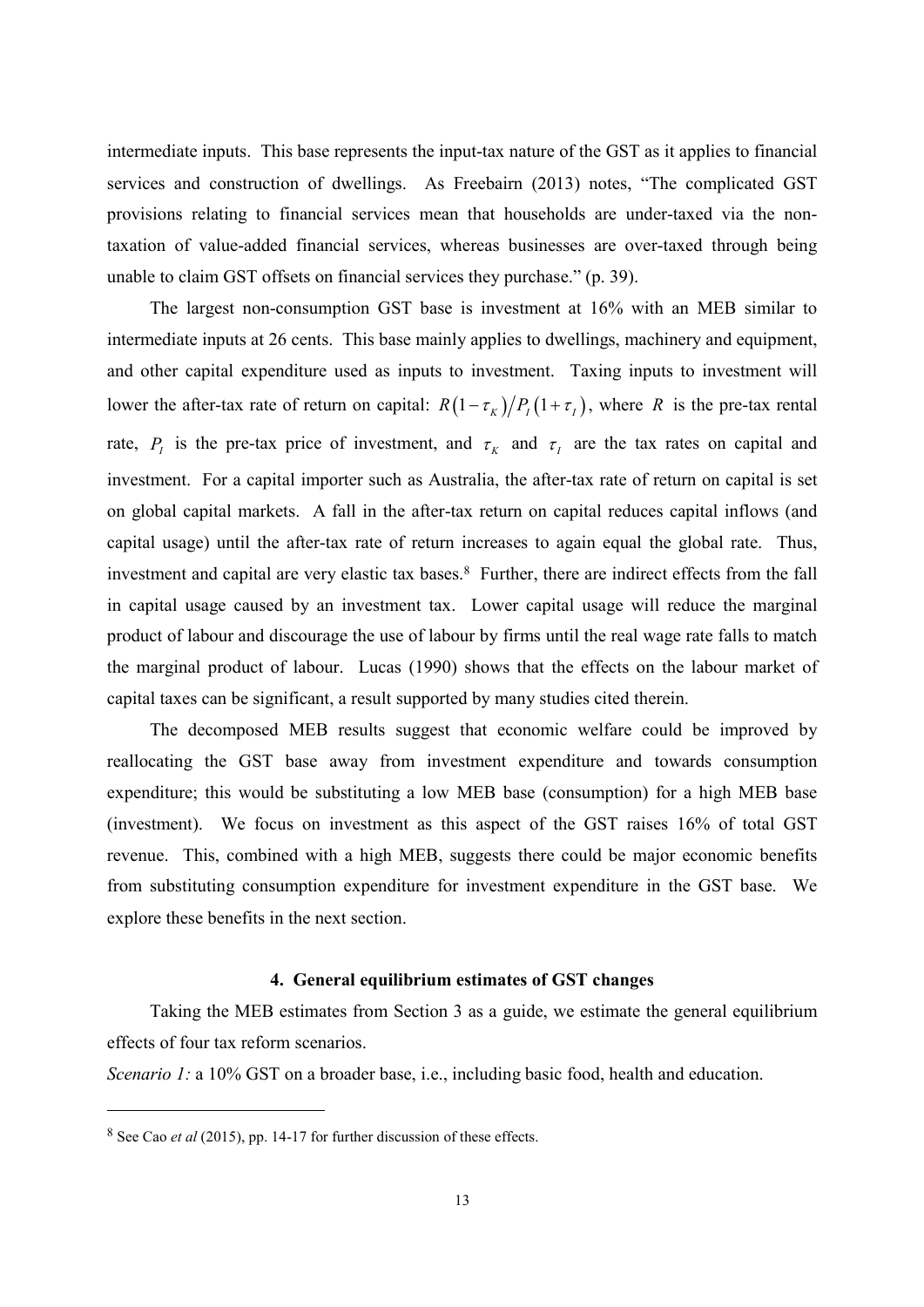intermediate inputs. This base represents the input-tax nature of the GST as it applies to financial services and construction of dwellings. As Freebairn (2013) notes, "The complicated GST provisions relating to financial services mean that households are under-taxed via the nontaxation of value-added financial services, whereas businesses are over-taxed through being unable to claim GST offsets on financial services they purchase." (p. 39).

The largest non-consumption GST base is investment at 16% with an MEB similar to intermediate inputs at 26 cents. This base mainly applies to dwellings, machinery and equipment, and other capital expenditure used as inputs to investment. Taxing inputs to investment will lower the after-tax rate of return on capital:  $R(1-\tau_K)/P_I(1+\tau_I)$ , where R is the pre-tax rental rate,  $P_i$  is the pre-tax price of investment, and  $\tau_k$  and  $\tau_i$  are the tax rates on capital and investment. For a capital importer such as Australia, the after-tax rate of return on capital is set on global capital markets. A fall in the after-tax return on capital reduces capital inflows (and capital usage) until the after-tax rate of return increases to again equal the global rate. Thus, investment and capital are very elastic tax bases.<sup>8</sup> Further, there are indirect effects from the fall in capital usage caused by an investment tax. Lower capital usage will reduce the marginal product of labour and discourage the use of labour by firms until the real wage rate falls to match the marginal product of labour. Lucas (1990) shows that the effects on the labour market of capital taxes can be significant, a result supported by many studies cited therein.

The decomposed MEB results suggest that economic welfare could be improved by reallocating the GST base away from investment expenditure and towards consumption expenditure; this would be substituting a low MEB base (consumption) for a high MEB base (investment). We focus on investment as this aspect of the GST raises 16% of total GST revenue. This, combined with a high MEB, suggests there could be major economic benefits from substituting consumption expenditure for investment expenditure in the GST base. We explore these benefits in the next section.

# 4. General equilibrium estimates of GST changes

Taking the MEB estimates from Section 3 as a guide, we estimate the general equilibrium effects of four tax reform scenarios.

Scenario 1: a 10% GST on a broader base, i.e., including basic food, health and education.

 $8$  See Cao *et al* (2015), pp. 14-17 for further discussion of these effects.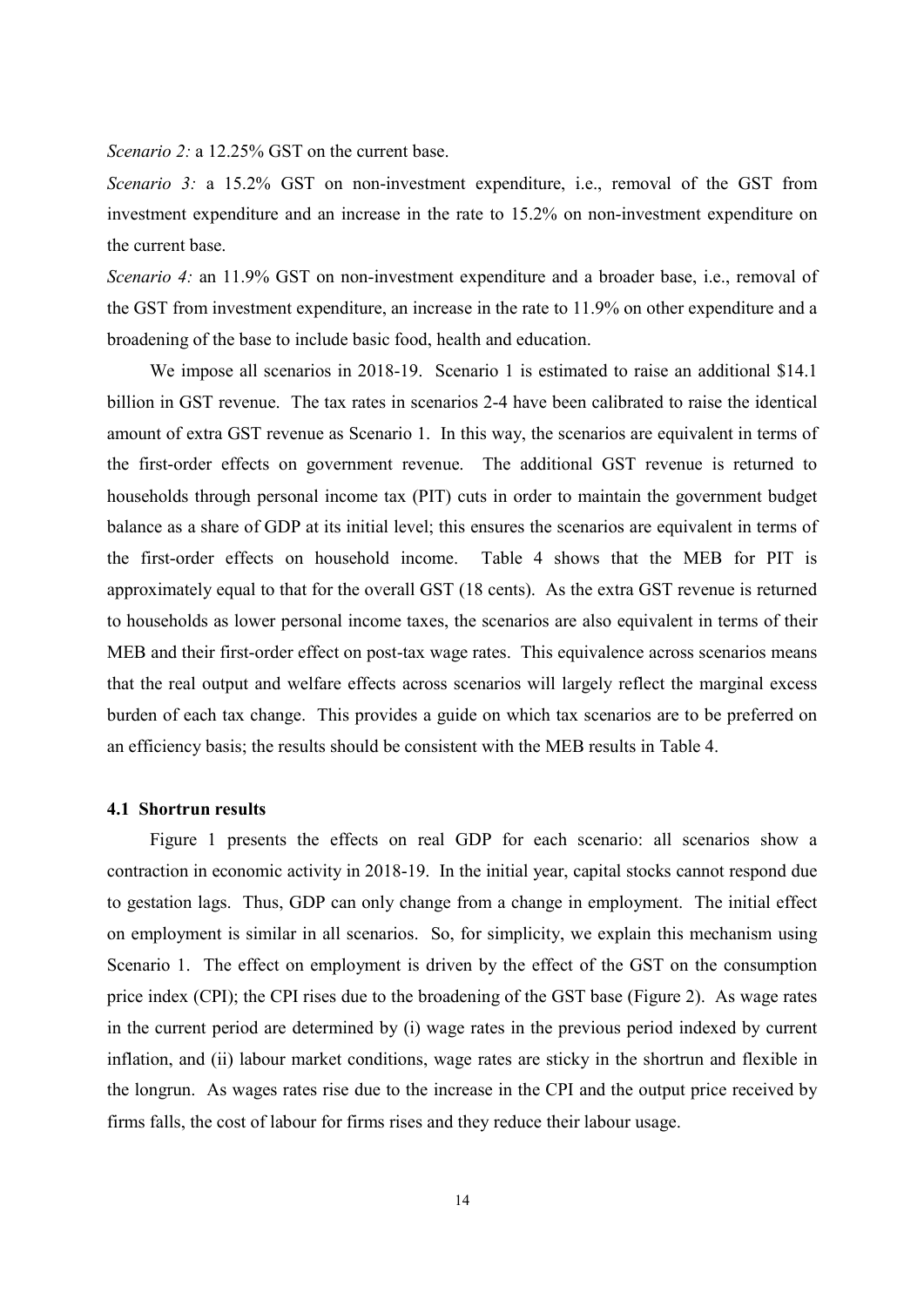Scenario 2: a 12.25% GST on the current base.

Scenario 3: a 15.2% GST on non-investment expenditure, i.e., removal of the GST from investment expenditure and an increase in the rate to 15.2% on non-investment expenditure on the current base.

Scenario 4: an 11.9% GST on non-investment expenditure and a broader base, i.e., removal of the GST from investment expenditure, an increase in the rate to 11.9% on other expenditure and a broadening of the base to include basic food, health and education.

We impose all scenarios in 2018-19. Scenario 1 is estimated to raise an additional \$14.1 billion in GST revenue. The tax rates in scenarios 2-4 have been calibrated to raise the identical amount of extra GST revenue as Scenario 1. In this way, the scenarios are equivalent in terms of the first-order effects on government revenue. The additional GST revenue is returned to households through personal income tax (PIT) cuts in order to maintain the government budget balance as a share of GDP at its initial level; this ensures the scenarios are equivalent in terms of the first-order effects on household income. Table 4 shows that the MEB for PIT is approximately equal to that for the overall GST (18 cents). As the extra GST revenue is returned to households as lower personal income taxes, the scenarios are also equivalent in terms of their MEB and their first-order effect on post-tax wage rates. This equivalence across scenarios means that the real output and welfare effects across scenarios will largely reflect the marginal excess burden of each tax change. This provides a guide on which tax scenarios are to be preferred on an efficiency basis; the results should be consistent with the MEB results in Table 4.

# **4.1 Shortrun results**

Figure 1 presents the effects on real GDP for each scenario: all scenarios show a contraction in economic activity in 2018-19. In the initial year, capital stocks cannot respond due to gestation lags. Thus, GDP can only change from a change in employment. The initial effect on employment is similar in all scenarios. So, for simplicity, we explain this mechanism using Scenario 1. The effect on employment is driven by the effect of the GST on the consumption price index (CPI); the CPI rises due to the broadening of the GST base (Figure 2). As wage rates in the current period are determined by (i) wage rates in the previous period indexed by current inflation, and (ii) labour market conditions, wage rates are sticky in the shortrun and flexible in the longrun. As wages rates rise due to the increase in the CPI and the output price received by firms falls, the cost of labour for firms rises and they reduce their labour usage.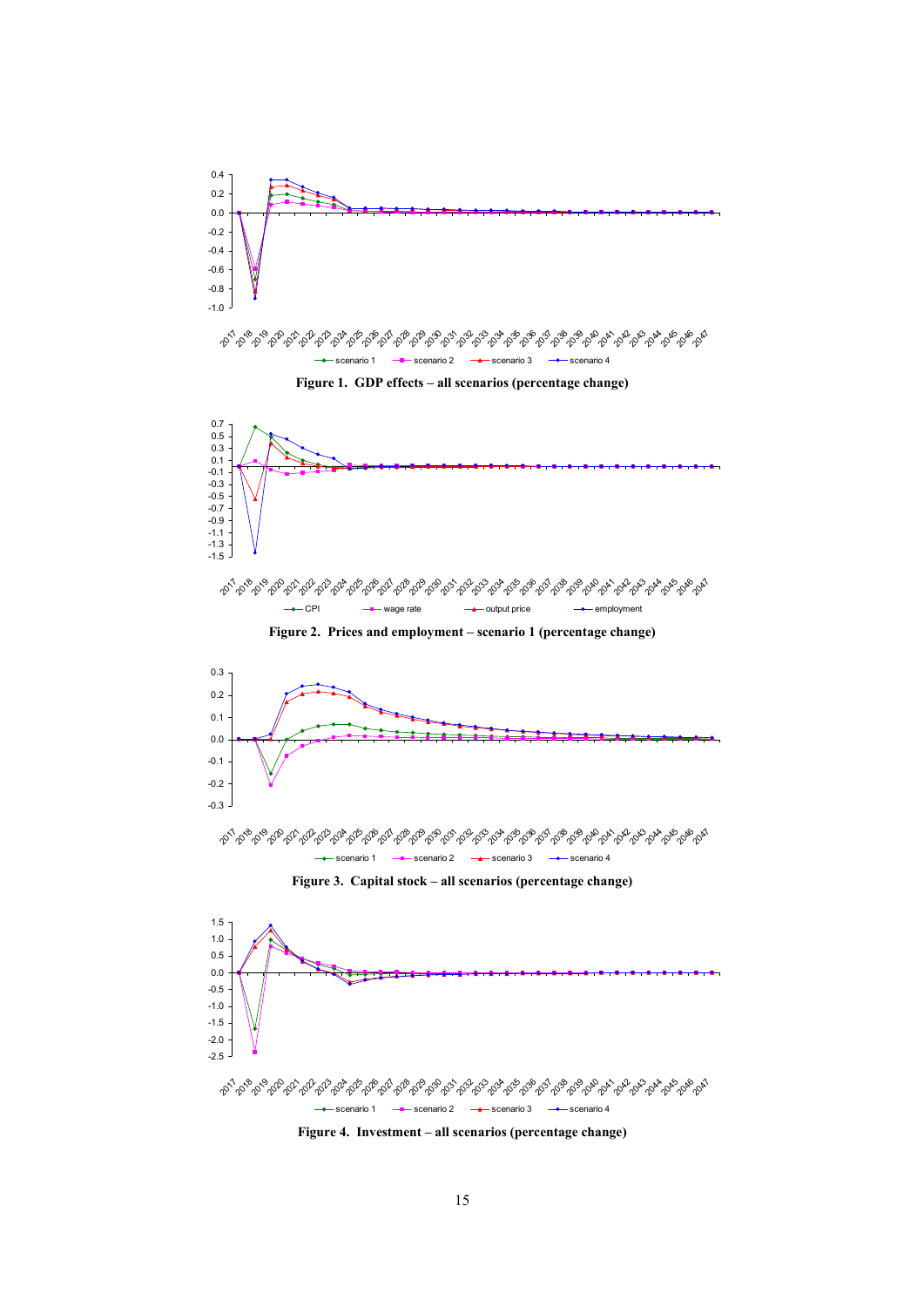

می شهر می ده می ده می ده می شهر می شهر می شهر می شهر می شهر می شهر می شهر می شهر می شهر می شهر می شهر می شهر م - Scenario 1 - Scenario 2 - Scenario 3 - Scenario 4

Figure 4. Investment – all scenarios (percentage change)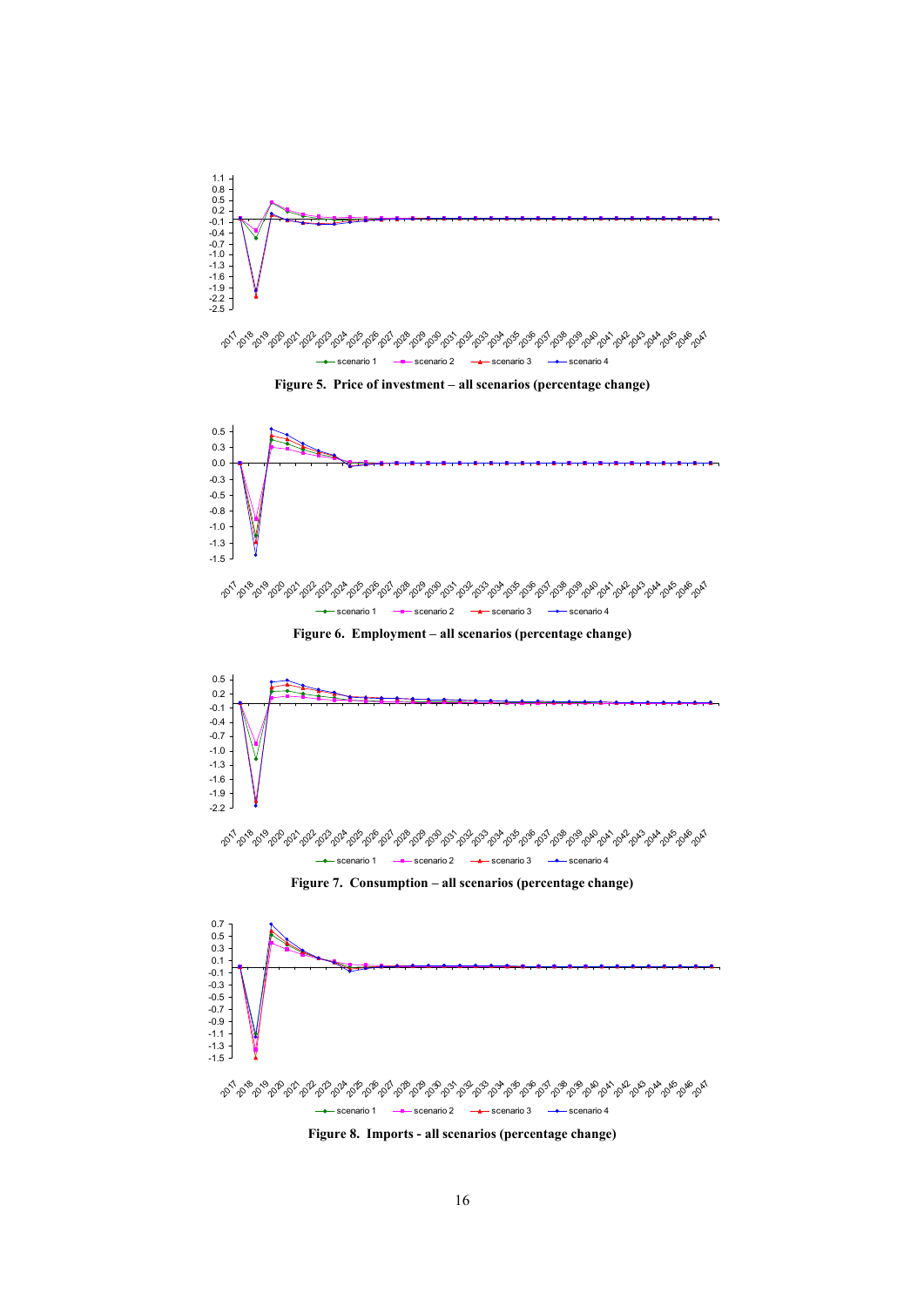

Scenario 1  $\longrightarrow$  scenario 2  $\longrightarrow$  scenario 3  $\rightarrow$  scenario 4

Figure 5. Price of investment - all scenarios (percentage change)



Figure 6. Employment - all scenarios (percentage change)







Figure 8. Imports - all scenarios (percentage change)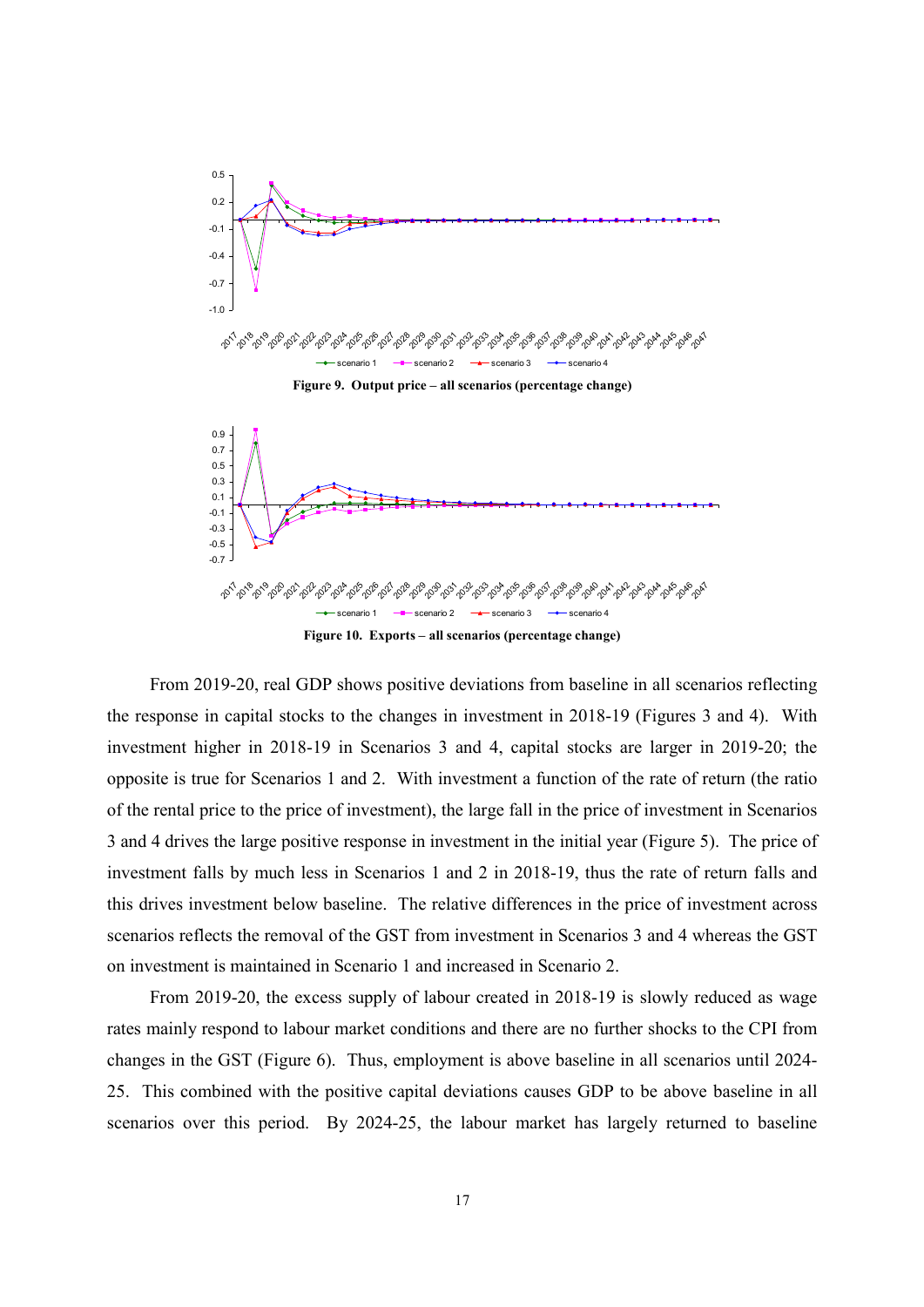



Figure 10. Exports - all scenarios (percentage change)

From 2019-20, real GDP shows positive deviations from baseline in all scenarios reflecting the response in capital stocks to the changes in investment in 2018-19 (Figures 3 and 4). With investment higher in 2018-19 in Scenarios 3 and 4, capital stocks are larger in 2019-20; the opposite is true for Scenarios 1 and 2. With investment a function of the rate of return (the ratio of the rental price to the price of investment), the large fall in the price of investment in Scenarios 3 and 4 drives the large positive response in investment in the initial year (Figure 5). The price of investment falls by much less in Scenarios 1 and 2 in 2018-19, thus the rate of return falls and this drives investment below baseline. The relative differences in the price of investment across scenarios reflects the removal of the GST from investment in Scenarios 3 and 4 whereas the GST on investment is maintained in Scenario 1 and increased in Scenario 2.

From 2019-20, the excess supply of labour created in 2018-19 is slowly reduced as wage rates mainly respond to labour market conditions and there are no further shocks to the CPI from changes in the GST (Figure 6). Thus, employment is above baseline in all scenarios until 2024-25. This combined with the positive capital deviations causes GDP to be above baseline in all scenarios over this period. By 2024-25, the labour market has largely returned to baseline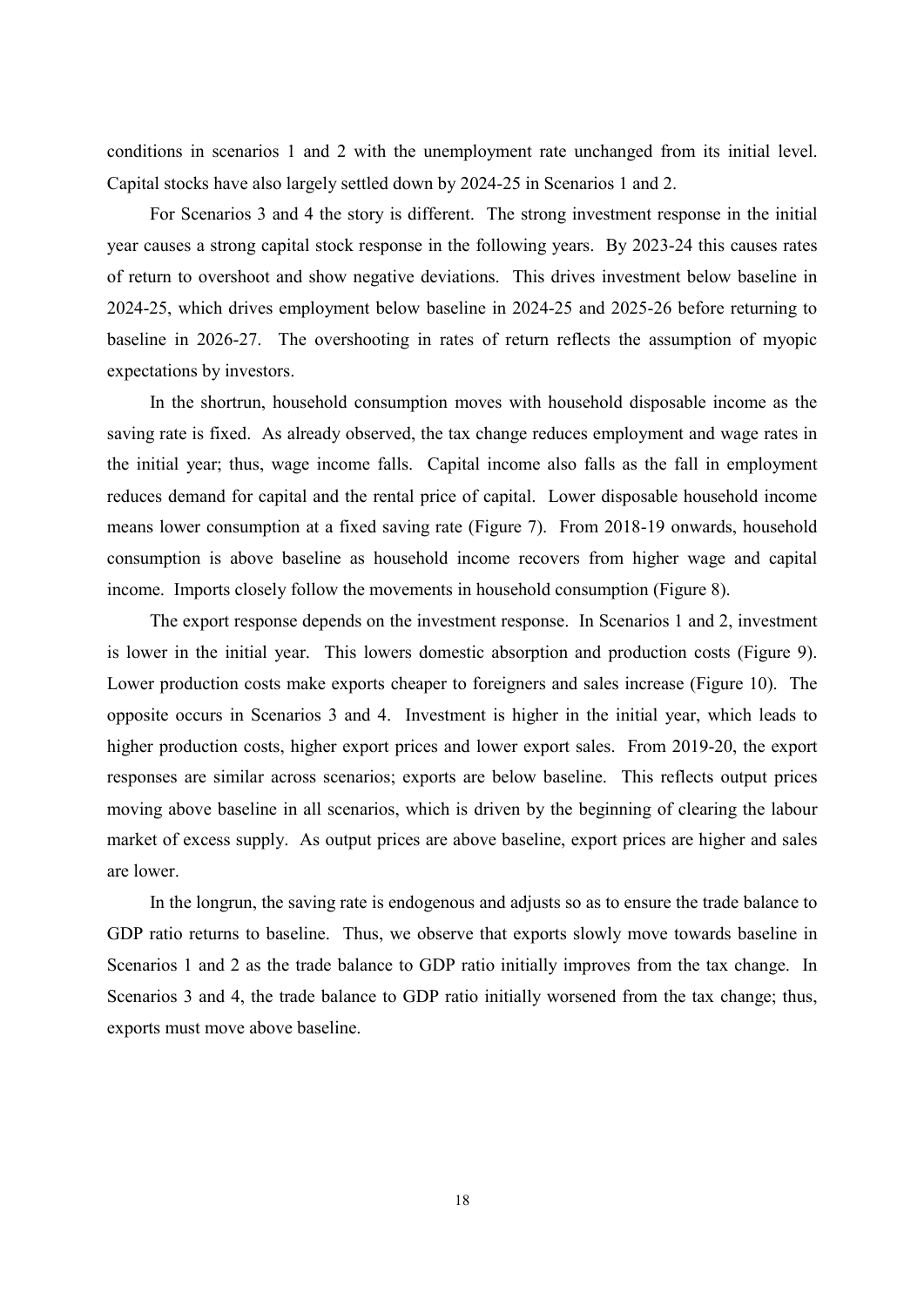conditions in scenarios 1 and 2 with the unemployment rate unchanged from its initial level. Capital stocks have also largely settled down by 2024-25 in Scenarios 1 and 2.

For Scenarios 3 and 4 the story is different. The strong investment response in the initial year causes a strong capital stock response in the following years. By 2023-24 this causes rates of return to overshoot and show negative deviations. This drives investment below baseline in 2024-25, which drives employment below baseline in 2024-25 and 2025-26 before returning to baseline in 2026-27. The overshooting in rates of return reflects the assumption of myopic expectations by investors.

In the shortrun, household consumption moves with household disposable income as the saving rate is fixed. As already observed, the tax change reduces employment and wage rates in the initial year; thus, wage income falls. Capital income also falls as the fall in employment reduces demand for capital and the rental price of capital. Lower disposable household income means lower consumption at a fixed saving rate (Figure 7). From 2018-19 onwards, household consumption is above baseline as household income recovers from higher wage and capital income. Imports closely follow the movements in household consumption (Figure 8).

The export response depends on the investment response. In Scenarios 1 and 2, investment is lower in the initial year. This lowers domestic absorption and production costs (Figure 9). Lower production costs make exports cheaper to foreigners and sales increase (Figure 10). The opposite occurs in Scenarios 3 and 4. Investment is higher in the initial year, which leads to higher production costs, higher export prices and lower export sales. From 2019-20, the export responses are similar across scenarios; exports are below baseline. This reflects output prices moving above baseline in all scenarios, which is driven by the beginning of clearing the labour market of excess supply. As output prices are above baseline, export prices are higher and sales are lower.

In the longrun, the saving rate is endogenous and adjusts so as to ensure the trade balance to GDP ratio returns to baseline. Thus, we observe that exports slowly move towards baseline in Scenarios 1 and 2 as the trade balance to GDP ratio initially improves from the tax change. In Scenarios 3 and 4, the trade balance to GDP ratio initially worsened from the tax change; thus, exports must move above baseline.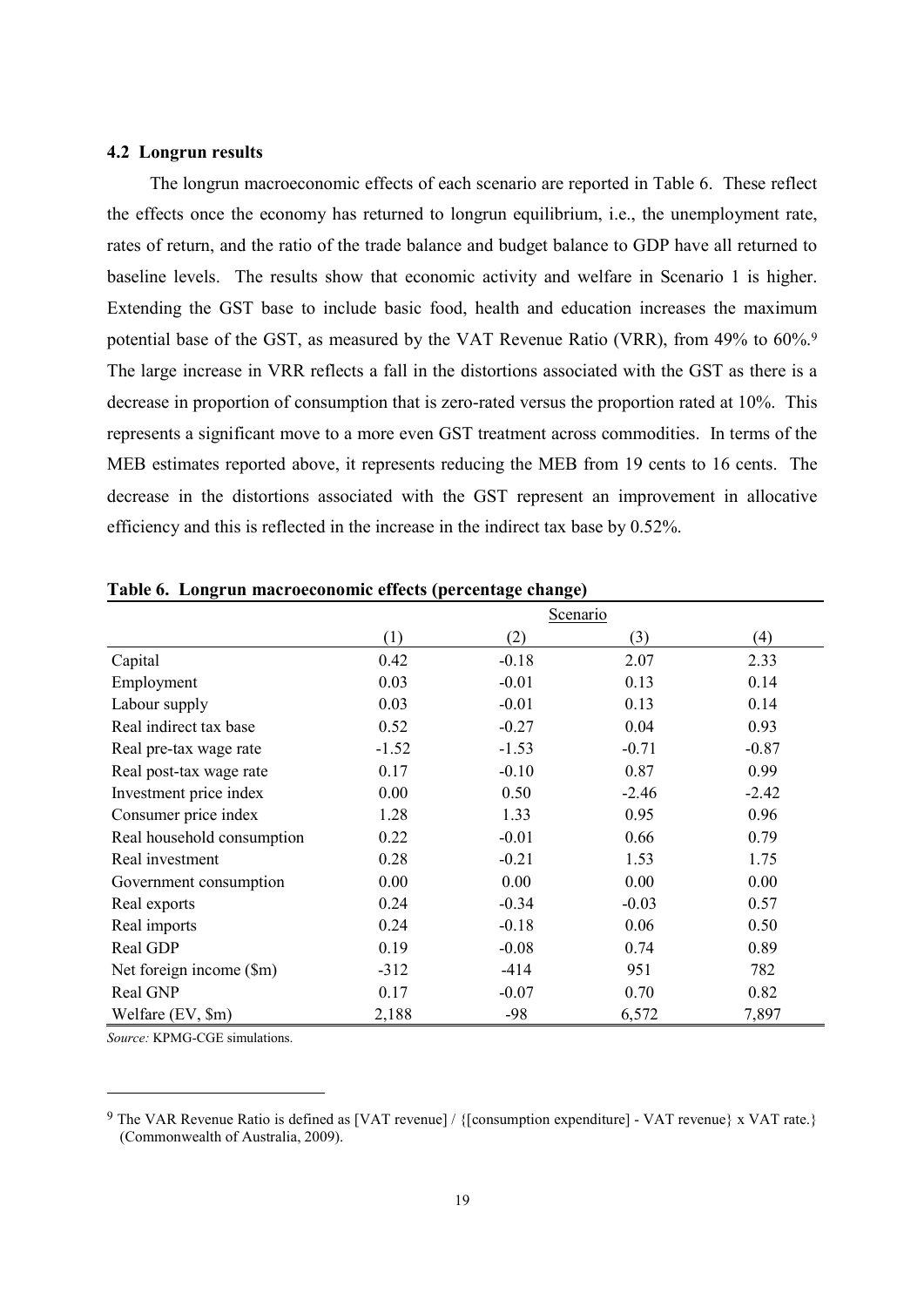# 4.2 Longrun results

The longrun macroeconomic effects of each scenario are reported in Table 6. These reflect the effects once the economy has returned to longrun equilibrium, *i.e.*, the unemployment rate, rates of return, and the ratio of the trade balance and budget balance to GDP have all returned to baseline levels. The results show that economic activity and welfare in Scenario 1 is higher. Extending the GST base to include basic food, health and education increases the maximum potential base of the GST, as measured by the VAT Revenue Ratio (VRR), from 49% to 60%. The large increase in VRR reflects a fall in the distortions associated with the GST as there is a decrease in proportion of consumption that is zero-rated versus the proportion rated at 10%. This represents a significant move to a more even GST treatment across commodities. In terms of the MEB estimates reported above, it represents reducing the MEB from 19 cents to 16 cents. The decrease in the distortions associated with the GST represent an improvement in allocative efficiency and this is reflected in the increase in the indirect tax base by 0.52%.

| o                          |         | o<br>0  |          |         |
|----------------------------|---------|---------|----------|---------|
|                            |         |         | Scenario |         |
|                            | (1)     | (2)     | (3)      | (4)     |
| Capital                    | 0.42    | $-0.18$ | 2.07     | 2.33    |
| Employment                 | 0.03    | $-0.01$ | 0.13     | 0.14    |
| Labour supply              | 0.03    | $-0.01$ | 0.13     | 0.14    |
| Real indirect tax base     | 0.52    | $-0.27$ | 0.04     | 0.93    |
| Real pre-tax wage rate     | $-1.52$ | $-1.53$ | $-0.71$  | $-0.87$ |
| Real post-tax wage rate    | 0.17    | $-0.10$ | 0.87     | 0.99    |
| Investment price index     | 0.00    | 0.50    | $-2.46$  | $-2.42$ |
| Consumer price index       | 1.28    | 1.33    | 0.95     | 0.96    |
| Real household consumption | 0.22    | $-0.01$ | 0.66     | 0.79    |
| Real investment            | 0.28    | $-0.21$ | 1.53     | 1.75    |
| Government consumption     | 0.00    | 0.00    | 0.00     | 0.00    |
| Real exports               | 0.24    | $-0.34$ | $-0.03$  | 0.57    |
| Real imports               | 0.24    | $-0.18$ | 0.06     | 0.50    |
| Real GDP                   | 0.19    | $-0.08$ | 0.74     | 0.89    |
| Net foreign income (\$m)   | $-312$  | $-414$  | 951      | 782     |
| Real GNP                   | 0.17    | $-0.07$ | 0.70     | 0.82    |
| Welfare (EV, \$m)          | 2,188   | $-98$   | 6,572    | 7,897   |

| Table 6. Longrun macroeconomic effects (percentage change) |  |
|------------------------------------------------------------|--|
|                                                            |  |

Source: KPMG-CGE simulations.

<sup>&</sup>lt;sup>9</sup> The VAR Revenue Ratio is defined as [VAT revenue] / {[consumption expenditure] - VAT revenue} x VAT rate.} (Commonwealth of Australia, 2009).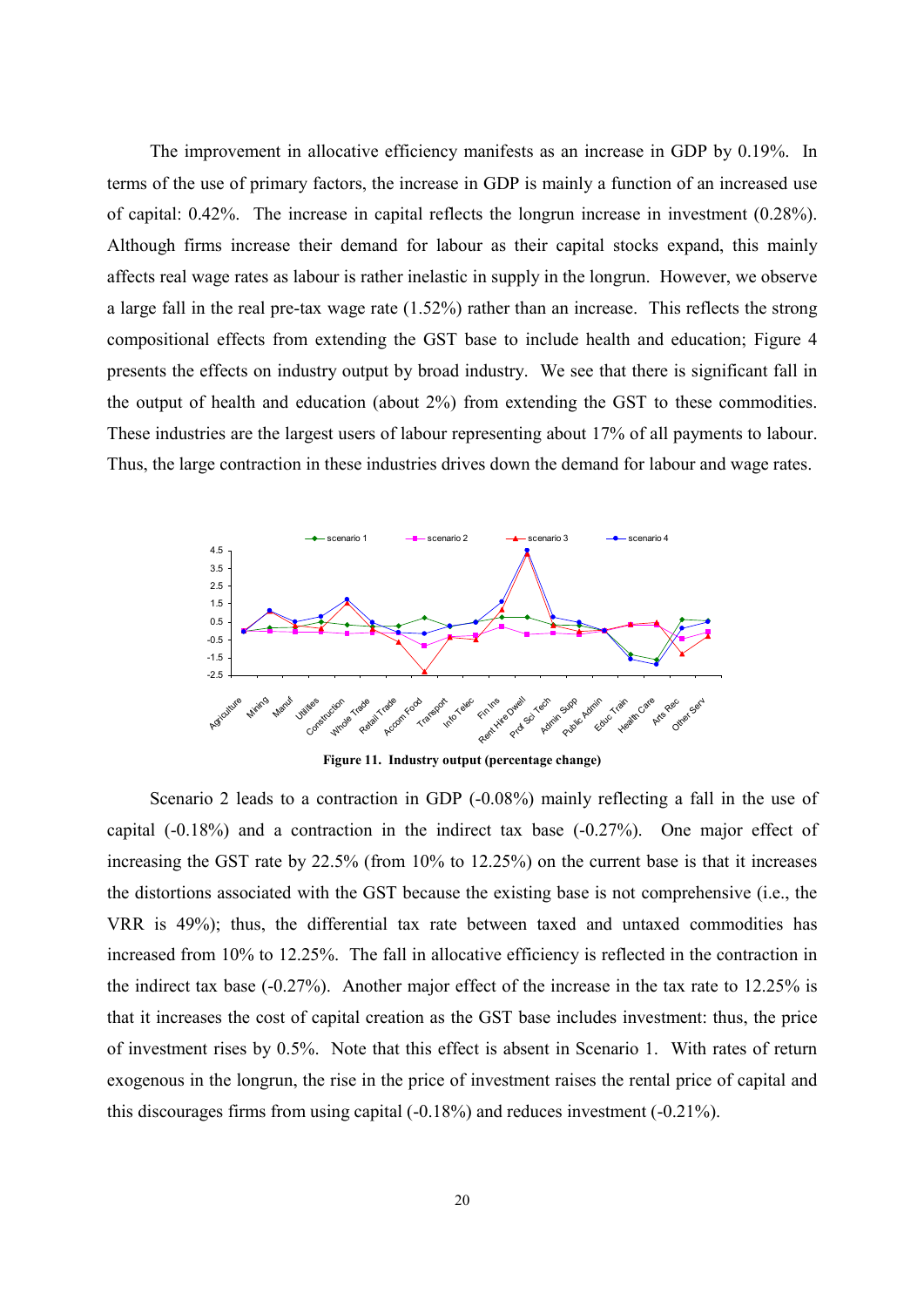The improvement in allocative efficiency manifests as an increase in GDP by 0.19%. In terms of the use of primary factors, the increase in GDP is mainly a function of an increased use of capital:  $0.42\%$ . The increase in capital reflects the longrun increase in investment  $(0.28\%)$ . Although firms increase their demand for labour as their capital stocks expand, this mainly affects real wage rates as labour is rather inelastic in supply in the longrun. However, we observe a large fall in the real pre-tax wage rate  $(1.52\%)$  rather than an increase. This reflects the strong compositional effects from extending the GST base to include health and education. Figure 4 presents the effects on industry output by broad industry. We see that there is significant fall in the output of health and education (about 2%) from extending the GST to these commodities. These industries are the largest users of labour representing about 17% of all payments to labour. Thus, the large contraction in these industries drives down the demand for labour and wage rates.



Figure 11. Industry output (percentage change)

Scenario 2 leads to a contraction in GDP (-0.08%) mainly reflecting a fall in the use of capital  $(-0.18\%)$  and a contraction in the indirect tax base  $(-0.27\%)$ . One major effect of increasing the GST rate by 22.5% (from 10% to 12.25%) on the current base is that it increases the distortions associated with the GST because the existing base is not comprehensive (i.e., the VRR is 49%); thus, the differential tax rate between taxed and untaxed commodities has increased from 10% to 12.25%. The fall in allocative efficiency is reflected in the contraction in the indirect tax base  $(-0.27\%)$ . Another major effect of the increase in the tax rate to 12.25% is that it increases the cost of capital creation as the GST base includes investment: thus, the price of investment rises by 0.5%. Note that this effect is absent in Scenario 1. With rates of return exogenous in the longrun, the rise in the price of investment raises the rental price of capital and this discourages firms from using capital  $(-0.18\%)$  and reduces investment  $(-0.21\%)$ .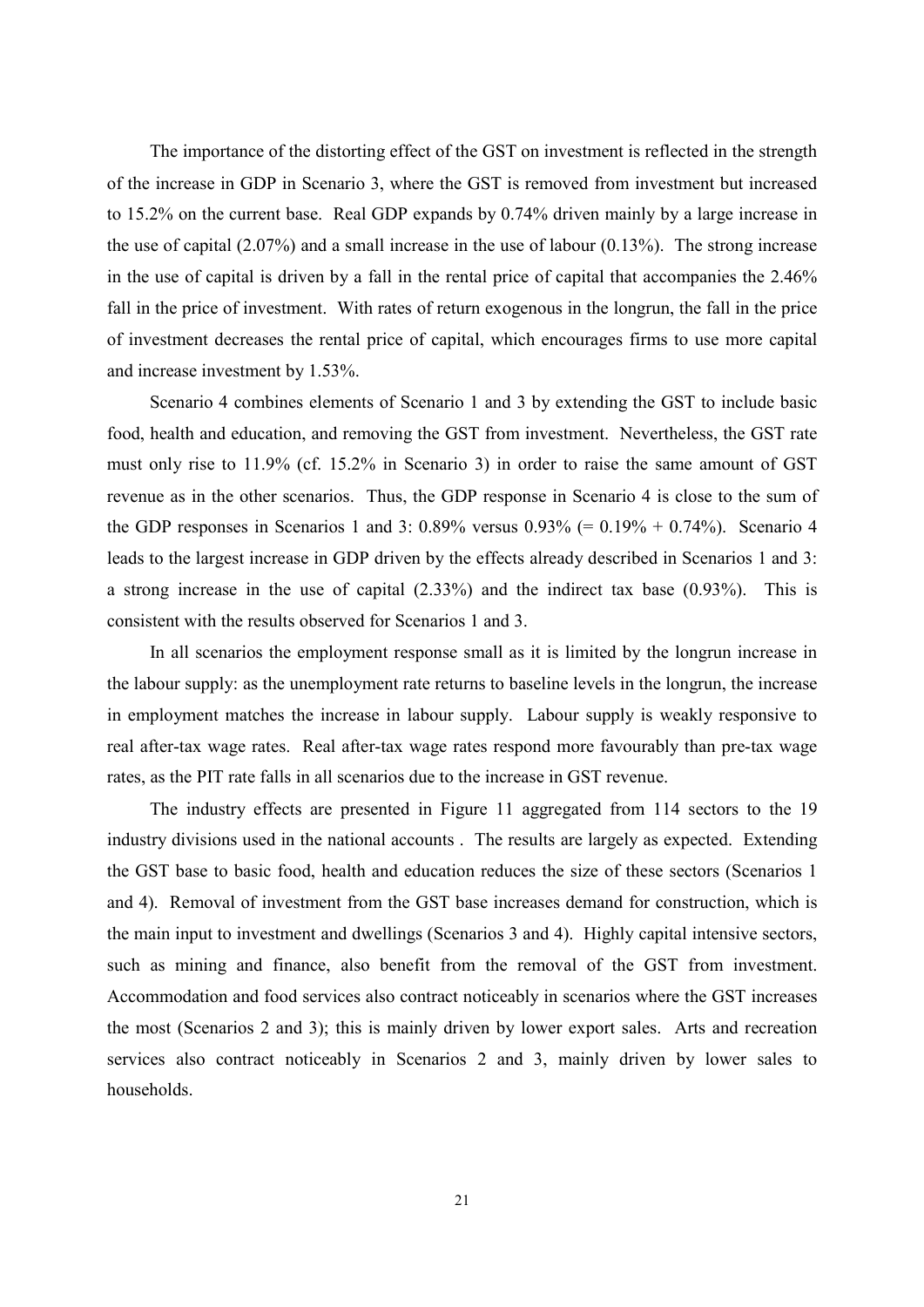The importance of the distorting effect of the GST on investment is reflected in the strength of the increase in GDP in Scenario 3, where the GST is removed from investment but increased to 15.2% on the current base. Real GDP expands by 0.74% driven mainly by a large increase in the use of capital  $(2.07\%)$  and a small increase in the use of labour  $(0.13\%)$ . The strong increase in the use of capital is driven by a fall in the rental price of capital that accompanies the 2.46% fall in the price of investment. With rates of return exogenous in the longrun, the fall in the price of investment decreases the rental price of capital, which encourages firms to use more capital and increase investment by 1.53%.

Scenario 4 combines elements of Scenario 1 and 3 by extending the GST to include basic food, health and education, and removing the GST from investment. Nevertheless, the GST rate must only rise to 11.9% (cf. 15.2% in Scenario 3) in order to raise the same amount of GST revenue as in the other scenarios. Thus, the GDP response in Scenario 4 is close to the sum of the GDP responses in Scenarios 1 and 3: 0.89% versus  $0.93\% = 0.19\% + 0.74\%$ . Scenario 4 leads to the largest increase in GDP driven by the effects already described in Scenarios 1 and 3: a strong increase in the use of capital  $(2.33\%)$  and the indirect tax base  $(0.93\%)$ . This is consistent with the results observed for Scenarios 1 and 3.

In all scenarios the employment response small as it is limited by the longrun increase in the labour supply: as the unemployment rate returns to baseline levels in the longrun, the increase in employment matches the increase in labour supply. Labour supply is weakly responsive to real after-tax wage rates. Real after-tax wage rates respond more favourably than pre-tax wage rates, as the PIT rate falls in all scenarios due to the increase in GST revenue.

The industry effects are presented in Figure 11 aggregated from 114 sectors to the 19 industry divisions used in the national accounts. The results are largely as expected. Extending the GST base to basic food, health and education reduces the size of these sectors (Scenarios 1) and 4). Removal of investment from the GST base increases demand for construction, which is the main input to investment and dwellings (Scenarios 3 and 4). Highly capital intensive sectors, such as mining and finance, also benefit from the removal of the GST from investment. Accommodation and food services also contract noticeably in scenarios where the GST increases the most (Scenarios 2 and 3); this is mainly driven by lower export sales. Arts and recreation services also contract noticeably in Scenarios 2 and 3, mainly driven by lower sales to households.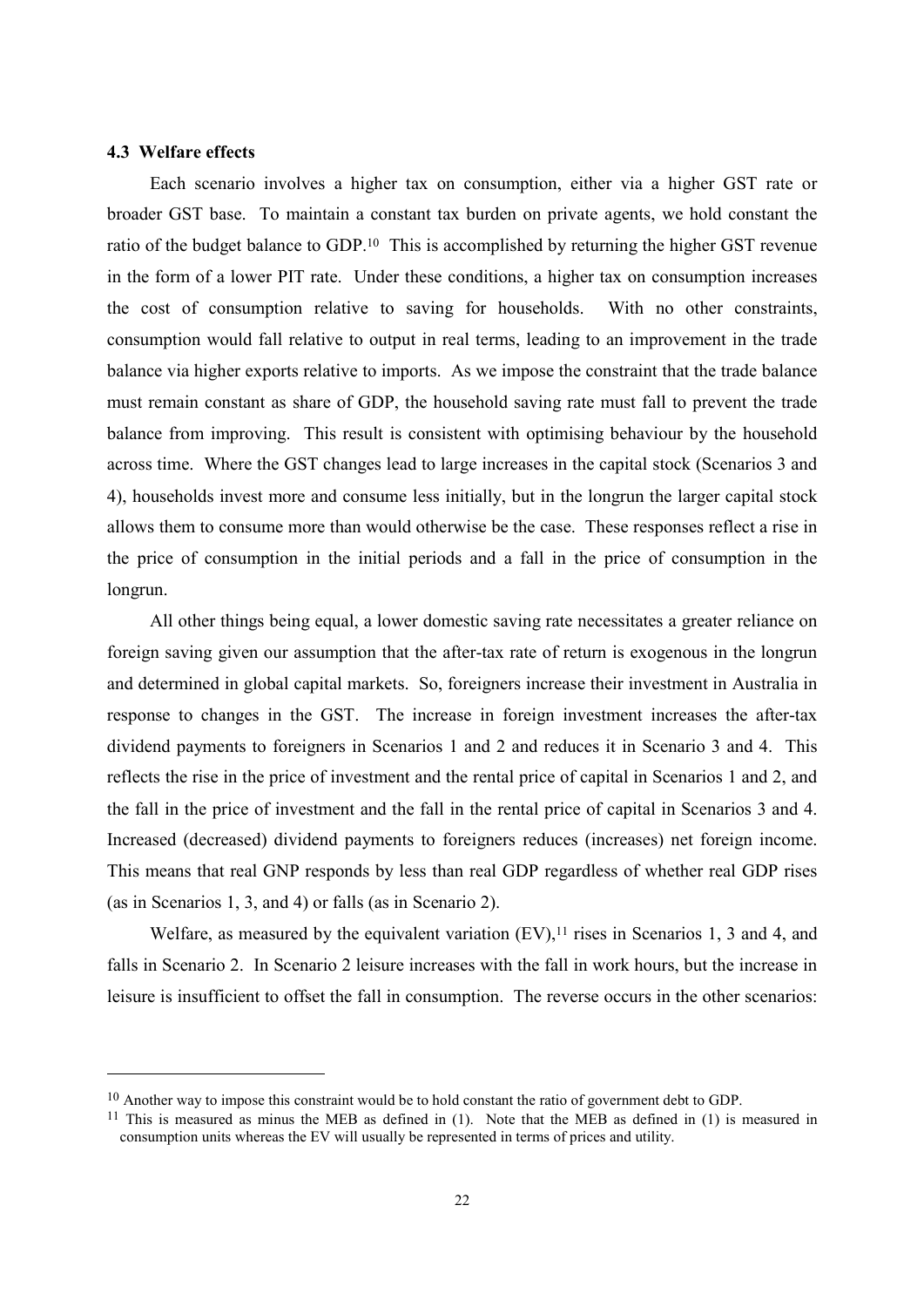# 4.3 Welfare effects

Each scenario involves a higher tax on consumption, either via a higher GST rate or broader GST base. To maintain a constant tax burden on private agents, we hold constant the ratio of the budget balance to GDP.<sup>10</sup> This is accomplished by returning the higher GST revenue in the form of a lower PIT rate. Under these conditions, a higher tax on consumption increases the cost of consumption relative to saving for households. With no other constraints, consumption would fall relative to output in real terms, leading to an improvement in the trade balance via higher exports relative to imports. As we impose the constraint that the trade balance must remain constant as share of GDP, the household saving rate must fall to prevent the trade balance from improving. This result is consistent with optimising behaviour by the household across time. Where the GST changes lead to large increases in the capital stock (Scenarios 3 and 4), households invest more and consume less initially, but in the longrun the larger capital stock allows them to consume more than would otherwise be the case. These responses reflect a rise in the price of consumption in the initial periods and a fall in the price of consumption in the longrun.

All other things being equal, a lower domestic saving rate necessitates a greater reliance on foreign saving given our assumption that the after-tax rate of return is exogenous in the longrun and determined in global capital markets. So, foreigners increase their investment in Australia in response to changes in the GST. The increase in foreign investment increases the after-tax dividend payments to foreigners in Scenarios 1 and 2 and reduces it in Scenario 3 and 4. This reflects the rise in the price of investment and the rental price of capital in Scenarios 1 and 2, and the fall in the price of investment and the fall in the rental price of capital in Scenarios 3 and 4. Increased (decreased) dividend payments to foreigners reduces (increases) net foreign income. This means that real GNP responds by less than real GDP regardless of whether real GDP rises (as in Scenarios 1, 3, and 4) or falls (as in Scenario 2).

Welfare, as measured by the equivalent variation  $(EV)$ ,<sup>11</sup> rises in Scenarios 1, 3 and 4, and falls in Scenario 2. In Scenario 2 leisure increases with the fall in work hours, but the increase in leisure is insufficient to offset the fall in consumption. The reverse occurs in the other scenarios:

 $10$  Another way to impose this constraint would be to hold constant the ratio of government debt to GDP.

<sup>&</sup>lt;sup>11</sup> This is measured as minus the MEB as defined in (1). Note that the MEB as defined in (1) is measured in consumption units whereas the EV will usually be represented in terms of prices and utility.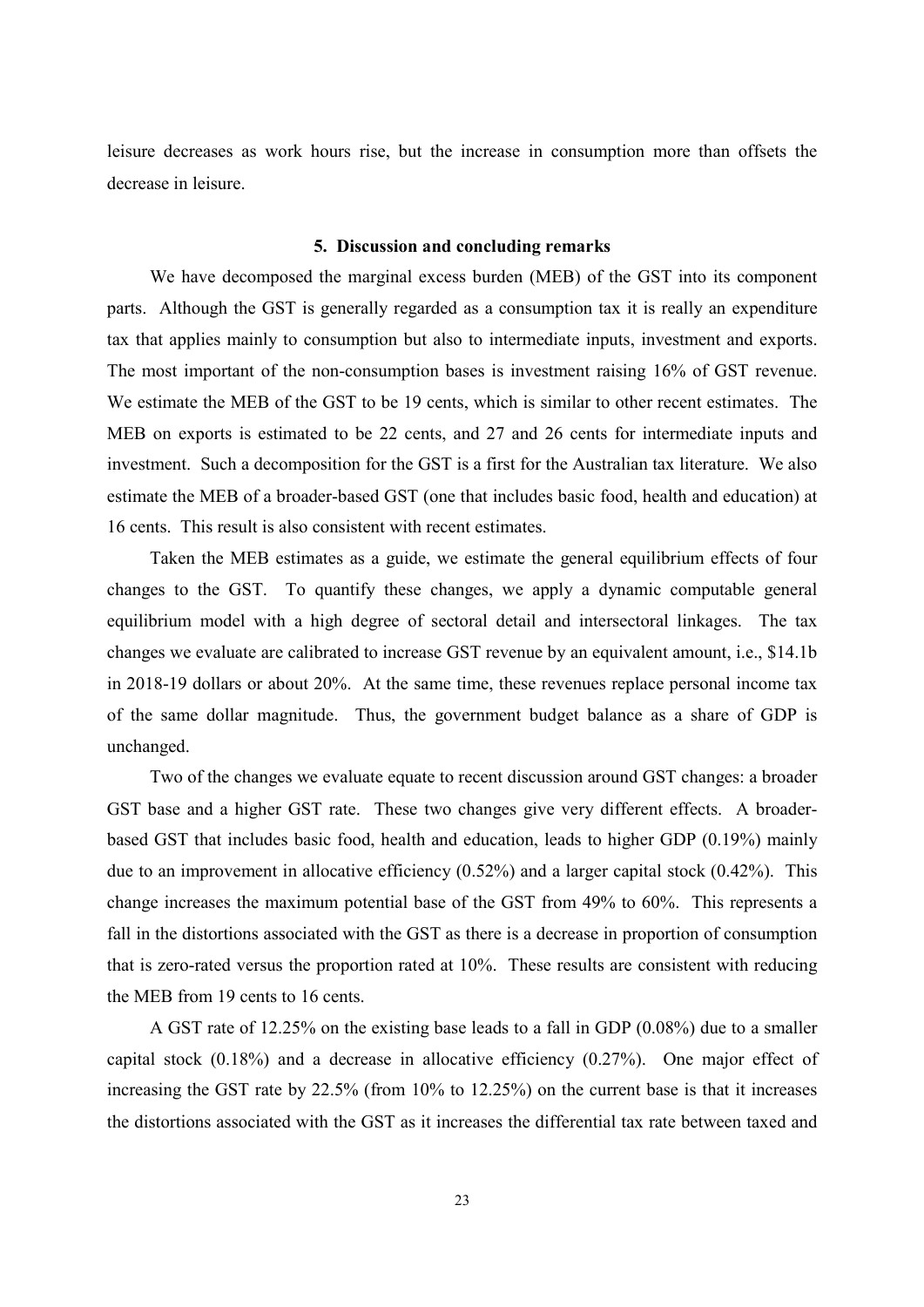leisure decreases as work hours rise, but the increase in consumption more than offsets the decrease in leisure

# 5. Discussion and concluding remarks

We have decomposed the marginal excess burden (MEB) of the GST into its component parts. Although the GST is generally regarded as a consumption tax it is really an expenditure tax that applies mainly to consumption but also to intermediate inputs, investment and exports. The most important of the non-consumption bases is investment raising 16% of GST revenue. We estimate the MEB of the GST to be 19 cents, which is similar to other recent estimates. The MEB on exports is estimated to be 22 cents, and 27 and 26 cents for intermediate inputs and investment. Such a decomposition for the GST is a first for the Australian tax literature. We also estimate the MEB of a broader-based GST (one that includes basic food, health and education) at 16 cents. This result is also consistent with recent estimates.

Taken the MEB estimates as a guide, we estimate the general equilibrium effects of four changes to the GST. To quantify these changes, we apply a dynamic computable general equilibrium model with a high degree of sectoral detail and intersectoral linkages. The tax changes we evaluate are calibrated to increase GST revenue by an equivalent amount, i.e., \$14.1b in 2018-19 dollars or about  $20\%$ . At the same time, these revenues replace personal income tax of the same dollar magnitude. Thus, the government budget balance as a share of GDP is unchanged.

Two of the changes we evaluate equate to recent discussion around GST changes: a broader GST base and a higher GST rate. These two changes give very different effects. A broaderbased GST that includes basic food, health and education, leads to higher GDP (0.19%) mainly due to an improvement in allocative efficiency  $(0.52\%)$  and a larger capital stock  $(0.42\%)$ . This change increases the maximum potential base of the GST from 49% to 60%. This represents a fall in the distortions associated with the GST as there is a decrease in proportion of consumption that is zero-rated versus the proportion rated at 10%. These results are consistent with reducing the MEB from 19 cents to 16 cents.

A GST rate of 12.25% on the existing base leads to a fall in GDP (0.08%) due to a smaller capital stock  $(0.18\%)$  and a decrease in allocative efficiency  $(0.27\%)$ . One major effect of increasing the GST rate by 22.5% (from 10% to 12.25%) on the current base is that it increases the distortions associated with the GST as it increases the differential tax rate between taxed and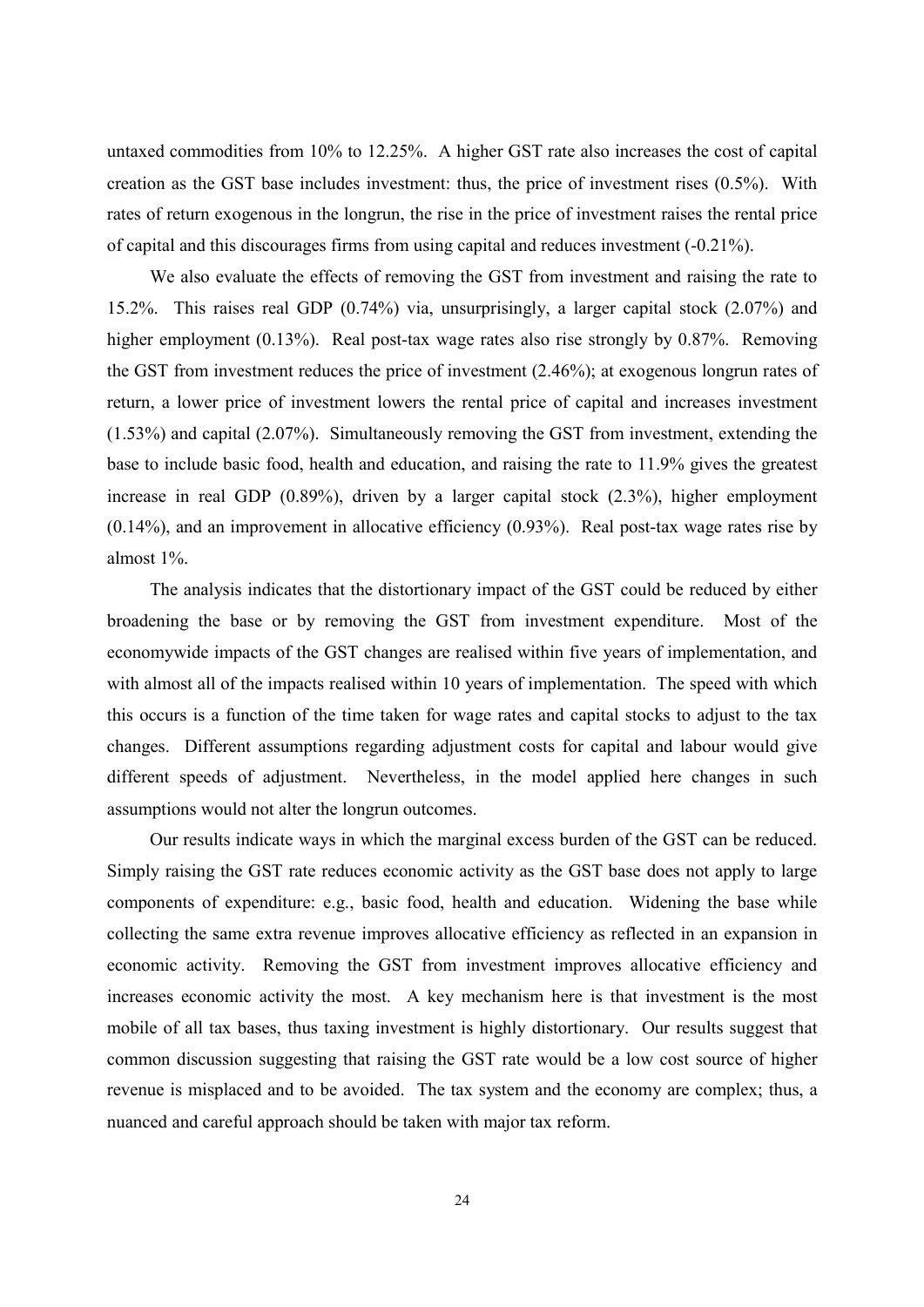untaxed commodities from 10% to 12.25%. A higher GST rate also increases the cost of capital creation as the GST base includes investment: thus, the price of investment rises (0.5%). With rates of return exogenous in the longrun, the rise in the price of investment raises the rental price of capital and this discourages firms from using capital and reduces investment (-0.21%).

We also evaluate the effects of removing the GST from investment and raising the rate to 15.2%. This raises real GDP (0.74%) via, unsurprisingly, a larger capital stock (2.07%) and higher employment  $(0.13\%)$ . Real post-tax wage rates also rise strongly by  $0.87\%$ . Removing the GST from investment reduces the price of investment (2.46%); at exogenous longrun rates of return, a lower price of investment lowers the rental price of capital and increases investment  $(1.53\%)$  and capital  $(2.07\%)$ . Simultaneously removing the GST from investment, extending the base to include basic food, health and education, and raising the rate to 11.9% gives the greatest increase in real GDP  $(0.89\%)$ , driven by a larger capital stock  $(2.3\%)$ , higher employment  $(0.14\%)$ , and an improvement in allocative efficiency  $(0.93\%)$ . Real post-tax wage rates rise by almost  $1\%$ .

The analysis indicates that the distortionary impact of the GST could be reduced by either broadening the base or by removing the GST from investment expenditure. Most of the economywide impacts of the GST changes are realised within five years of implementation, and with almost all of the impacts realised within 10 years of implementation. The speed with which this occurs is a function of the time taken for wage rates and capital stocks to adjust to the tax changes. Different assumptions regarding adjustment costs for capital and labour would give different speeds of adjustment. Nevertheless, in the model applied here changes in such assumptions would not alter the longrun outcomes.

Our results indicate ways in which the marginal excess burden of the GST can be reduced. Simply raising the GST rate reduces economic activity as the GST base does not apply to large components of expenditure: e.g., basic food, health and education. Widening the base while collecting the same extra revenue improves allocative efficiency as reflected in an expansion in economic activity. Removing the GST from investment improves allocative efficiency and increases economic activity the most. A key mechanism here is that investment is the most mobile of all tax bases, thus taxing investment is highly distortionary. Our results suggest that common discussion suggesting that raising the GST rate would be a low cost source of higher revenue is misplaced and to be avoided. The tax system and the economy are complex; thus, a nuanced and careful approach should be taken with major tax reform.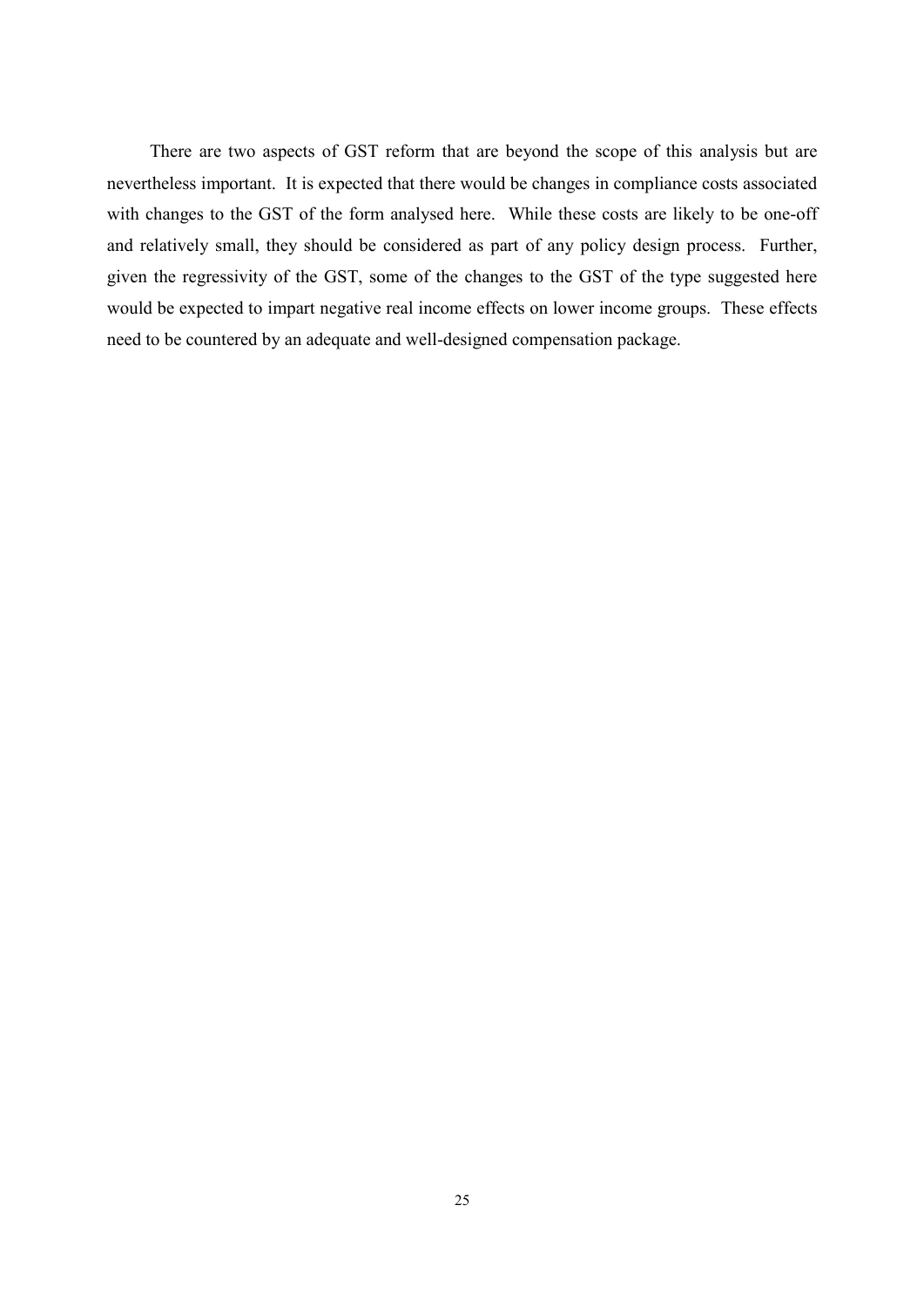There are two aspects of GST reform that are beyond the scope of this analysis but are nevertheless important. It is expected that there would be changes in compliance costs associated with changes to the GST of the form analysed here. While these costs are likely to be one-off and relatively small, they should be considered as part of any policy design process. Further, given the regressivity of the GST, some of the changes to the GST of the type suggested here would be expected to impart negative real income effects on lower income groups. These effects need to be countered by an adequate and well-designed compensation package.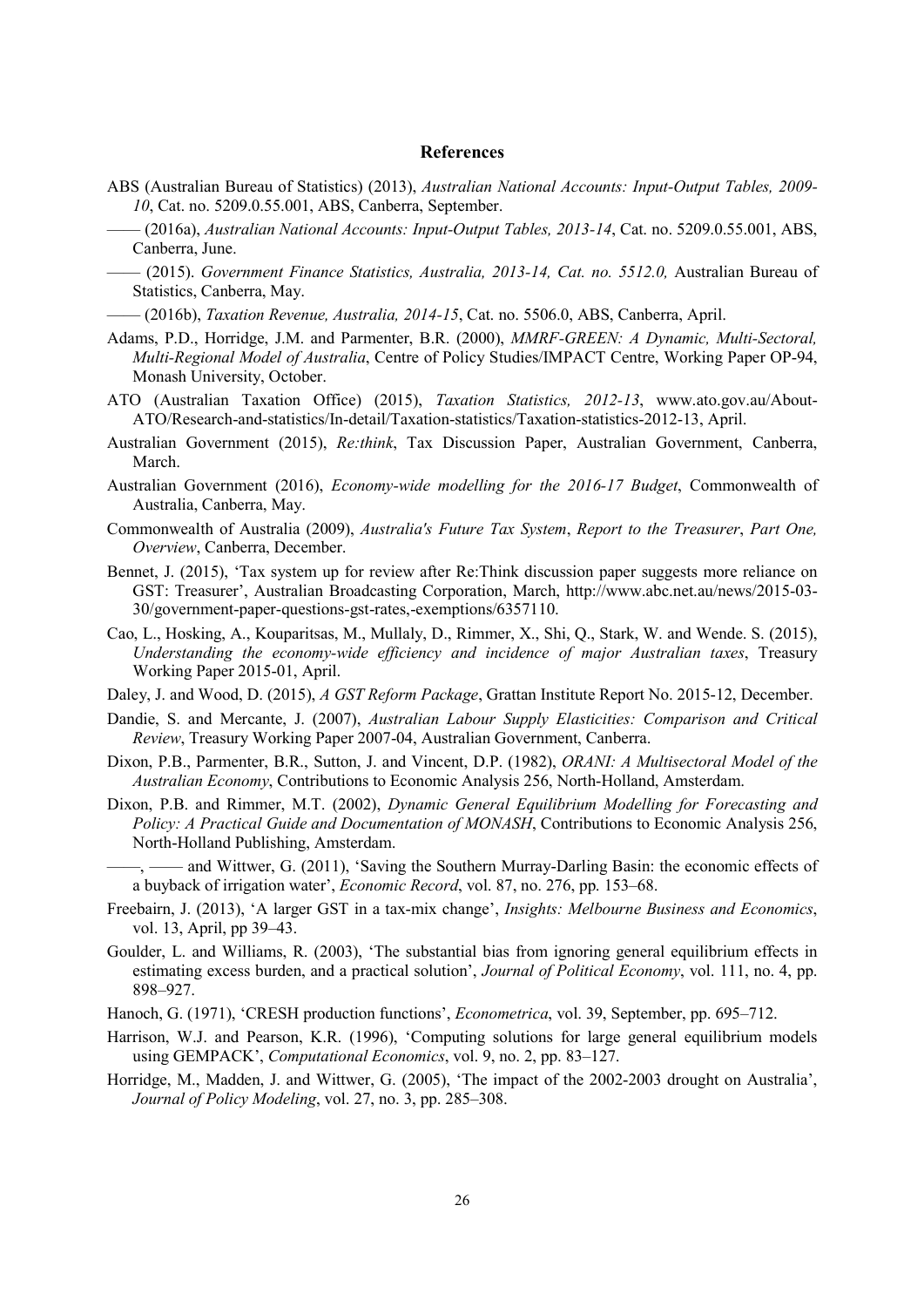#### **References**

- ABS (Australian Bureau of Statistics) (2013), Australian National Accounts: Input-Output Tables, 2009-10, Cat. no. 5209.0.55.001, ABS, Canberra, September.
- $-$  (2016a), Australian National Accounts: Input-Output Tables, 2013-14, Cat. no. 5209.0.55.001, ABS, Canberra, June.
- (2015). Government Finance Statistics, Australia, 2013-14, Cat. no. 5512.0, Australian Bureau of Statistics, Canberra, May.
- $-$  (2016b), Taxation Revenue, Australia, 2014-15, Cat. no. 5506.0, ABS, Canberra, April.
- Adams, P.D., Horridge, J.M. and Parmenter, B.R. (2000), *MMRF-GREEN: A Dynamic, Multi-Sectoral*, Multi-Regional Model of Australia, Centre of Policy Studies/IMPACT Centre, Working Paper OP-94, Monash University, October.
- ATO (Australian Taxation Office) (2015), Taxation Statistics, 2012-13, www.ato.gov.au/About-ATO/Research-and-statistics/In-detail/Taxation-statistics/Taxation-statistics-2012-13, April.
- Australian Government (2015), Re:think, Tax Discussion Paper, Australian Government, Canberra, March.
- Australian Government (2016), *Economy-wide modelling for the 2016-17 Budget*, Commonwealth of Australia, Canberra, May.
- Commonwealth of Australia (2009), Australia's Future Tax System, Report to the Treasurer, Part One, Overview, Canberra, December.
- Bennet, J. (2015), 'Tax system up for review after Re:Think discussion paper suggests more reliance on GST: Treasurer', Australian Broadcasting Corporation, March, http://www.abc.net.au/news/2015-03-30/government-paper-questions-gst-rates,-exemptions/6357110.
- Cao, L., Hosking, A., Kouparitsas, M., Mullaly, D., Rimmer, X., Shi, Q., Stark, W. and Wende. S. (2015), Understanding the economy-wide efficiency and incidence of major Australian taxes, Treasury Working Paper 2015-01, April.
- Daley, J. and Wood, D. (2015), A GST Reform Package, Grattan Institute Report No. 2015-12, December.
- Dandie, S. and Mercante, J. (2007), Australian Labour Supply Elasticities: Comparison and Critical Review, Treasury Working Paper 2007-04, Australian Government, Canberra.
- Dixon, P.B., Parmenter, B.R., Sutton, J. and Vincent, D.P. (1982), ORANI: A Multisectoral Model of the Australian Economy, Contributions to Economic Analysis 256, North-Holland, Amsterdam.
- Dixon, P.B. and Rimmer, M.T. (2002), Dynamic General Equilibrium Modelling for Forecasting and Policy: A Practical Guide and Documentation of MONASH, Contributions to Economic Analysis 256, North-Holland Publishing, Amsterdam.
	- and Wittwer, G. (2011), 'Saving the Southern Murray-Darling Basin: the economic effects of a buyback of irrigation water', *Economic Record*, vol. 87, no. 276, pp. 153-68.
- Freebairn, J. (2013), 'A larger GST in a tax-mix change', *Insights: Melbourne Business and Economics*, vol. 13, April, pp 39–43.
- Goulder, L. and Williams, R. (2003), 'The substantial bias from ignoring general equilibrium effects in estimating excess burden, and a practical solution', *Journal of Political Economy*, vol. 111, no. 4, pp. 898-927.
- Hanoch, G. (1971), 'CRESH production functions', *Econometrica*, vol. 39, September, pp. 695–712.
- Harrison, W.J. and Pearson, K.R. (1996), 'Computing solutions for large general equilibrium models using GEMPACK', *Computational Economics*, vol. 9, no. 2, pp. 83–127.
- Horridge, M., Madden, J. and Wittwer, G. (2005), 'The impact of the 2002-2003 drought on Australia', Journal of Policy Modeling, vol. 27, no. 3, pp. 285-308.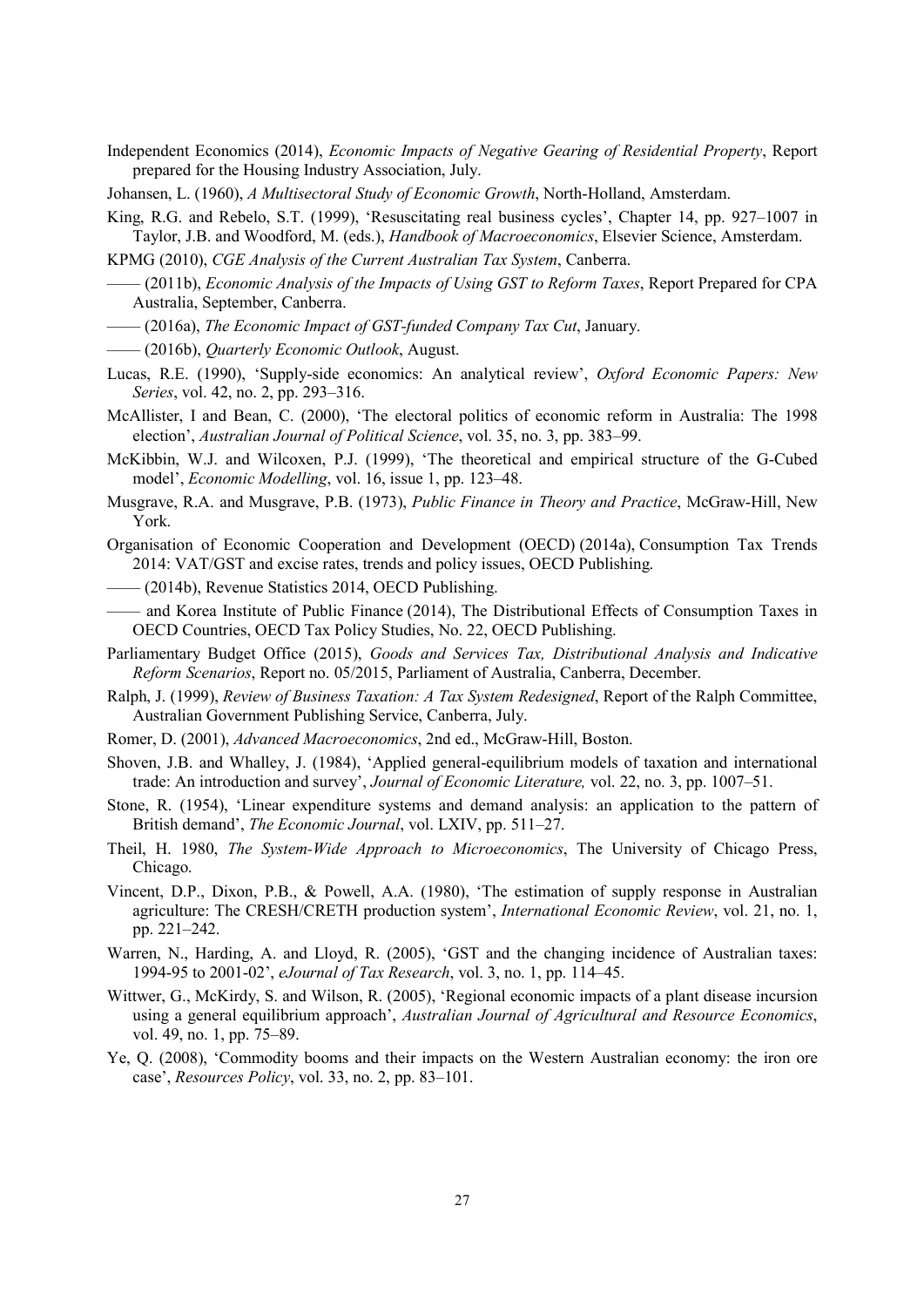Independent Economics (2014), *Economic Impacts of Negative Gearing of Residential Property*, Report prepared for the Housing Industry Association, July.

Johansen, L. (1960), A Multisectoral Study of Economic Growth, North-Holland, Amsterdam.

King, R.G. and Rebelo, S.T. (1999). 'Resuscitating real business cycles'. Chapter 14, pp. 927–1007 in Taylor, J.B. and Woodford, M. (eds.), Handbook of Macroeconomics, Elsevier Science, Amsterdam.

KPMG (2010), CGE Analysis of the Current Australian Tax System, Canberra.

- (2011b), *Economic Analysis of the Impacts of Using GST to Reform Taxes*, Report Prepared for CPA Australia, September, Canberra.
- (2016a), The Economic Impact of GST-funded Company Tax Cut, January.
- (2016b), Quarterly Economic Outlook, August.
- Lucas, R.E. (1990), 'Supply-side economics: An analytical review', Oxford Economic Papers: New Series, vol. 42, no. 2, pp. 293–316.
- McAllister, I and Bean, C. (2000), 'The electoral politics of economic reform in Australia: The 1998 election', Australian Journal of Political Science, vol. 35, no. 3, pp. 383–99.

McKibbin, W.J. and Wilcoxen, P.J. (1999), 'The theoretical and empirical structure of the G-Cubed model', *Economic Modelling*, vol. 16, issue 1, pp. 123–48.

- Musgrave, R.A. and Musgrave, P.B. (1973), Public Finance in Theory and Practice, McGraw-Hill, New York
- Organisation of Economic Cooperation and Development (OECD) (2014a), Consumption Tax Trends 2014: VAT/GST and excise rates, trends and policy issues, OECD Publishing.
- (2014b), Revenue Statistics 2014, OECD Publishing.
- and Korea Institute of Public Finance (2014), The Distributional Effects of Consumption Taxes in OECD Countries, OECD Tax Policy Studies, No. 22, OECD Publishing.
- Parliamentary Budget Office (2015), Goods and Services Tax, Distributional Analysis and Indicative Reform Scenarios, Report no. 05/2015, Parliament of Australia, Canberra, December.
- Ralph, J. (1999), Review of Business Taxation: A Tax System Redesigned, Report of the Ralph Committee, Australian Government Publishing Service, Canberra, July.
- Romer, D. (2001), *Advanced Macroeconomics*, 2nd ed., McGraw-Hill, Boston.
- Shoven, J.B. and Whalley, J. (1984), 'Applied general-equilibrium models of taxation and international trade: An introduction and survey', Journal of Economic Literature, vol. 22, no. 3, pp. 1007–51.
- Stone, R. (1954). 'Linear expenditure systems and demand analysis: an application to the pattern of British demand', *The Economic Journal*, vol. LXIV, pp. 511–27.
- Theil, H. 1980, *The System-Wide Approach to Microeconomics*, The University of Chicago Press, Chicago.
- Vincent, D.P., Dixon, P.B., & Powell, A.A. (1980), 'The estimation of supply response in Australian agriculture: The CRESH/CRETH production system', *International Economic Review*, vol. 21, no. 1, pp. 221-242.
- Warren, N., Harding, A. and Lloyd, R. (2005), 'GST and the changing incidence of Australian taxes: 1994-95 to 2001-02', eJournal of Tax Research, vol. 3, no. 1, pp. 114-45.
- Wittwer, G., McKirdy, S. and Wilson, R. (2005). 'Regional economic impacts of a plant disease incursion using a general equilibrium approach', Australian Journal of Agricultural and Resource Economics, vol. 49, no. 1, pp. 75–89.
- Ye, Q. (2008), 'Commodity booms and their impacts on the Western Australian economy: the iron ore case', Resources Policy, vol. 33, no. 2, pp. 83-101.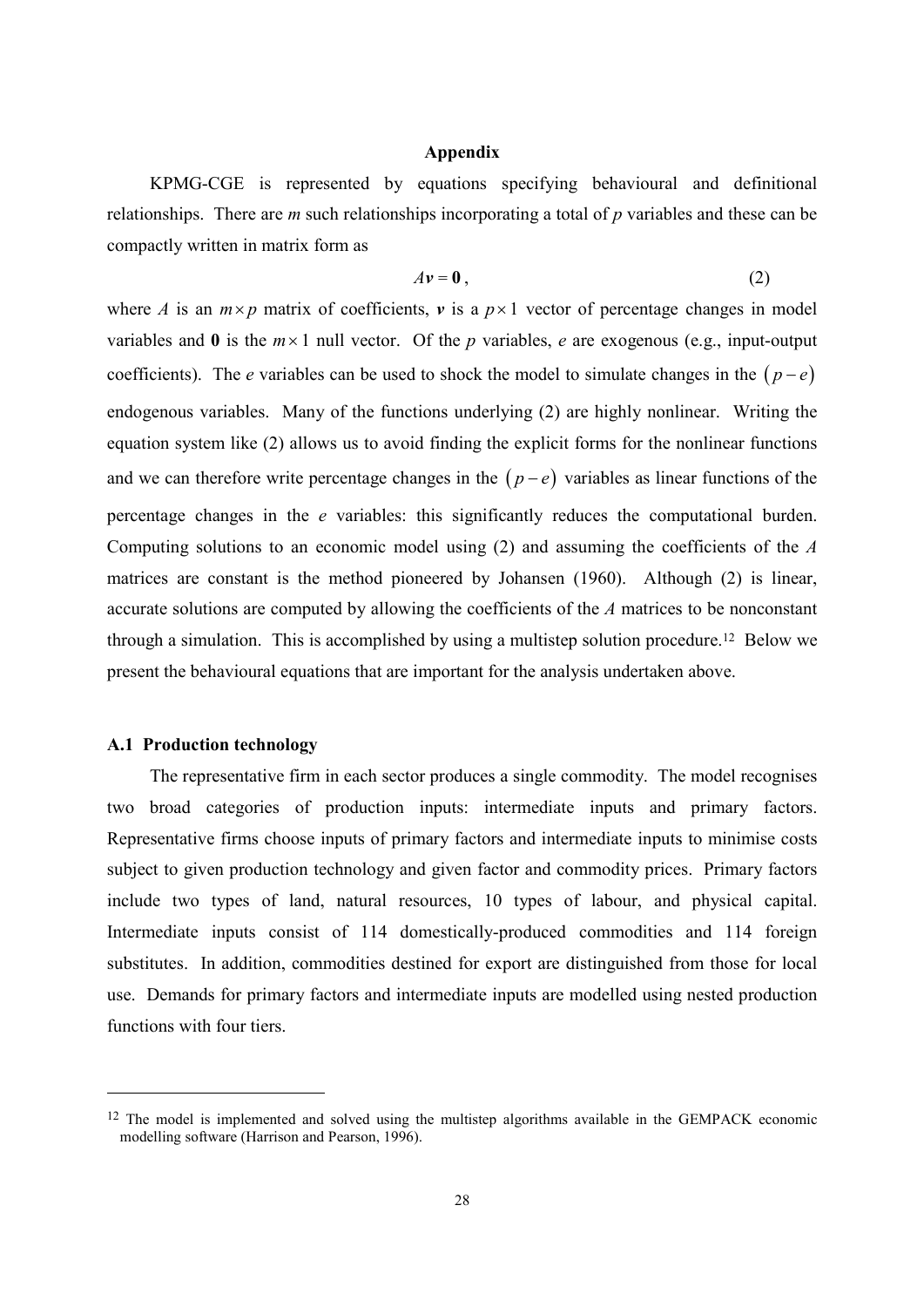#### **Appendix**

KPMG-CGE is represented by equations specifying behavioural and definitional relationships. There are  $m$  such relationships incorporating a total of  $p$  variables and these can be compactly written in matrix form as

$$
A\mathbf{v} = \mathbf{0} \tag{2}
$$

where A is an  $m \times p$  matrix of coefficients, v is a  $p \times 1$  vector of percentage changes in model variables and 0 is the  $m \times 1$  null vector. Of the p variables, e are exogenous (e.g., input-output coefficients). The *e* variables can be used to shock the model to simulate changes in the  $(p-e)$ endogenous variables. Many of the functions underlying (2) are highly nonlinear. Writing the equation system like (2) allows us to avoid finding the explicit forms for the nonlinear functions and we can therefore write percentage changes in the  $(p-e)$  variables as linear functions of the percentage changes in the *e* variables: this significantly reduces the computational burden. Computing solutions to an economic model using  $(2)$  and assuming the coefficients of the A matrices are constant is the method pioneered by Johansen (1960). Although (2) is linear, accurate solutions are computed by allowing the coefficients of the A matrices to be nonconstant through a simulation. This is accomplished by using a multistep solution procedure.<sup>12</sup> Below we present the behavioural equations that are important for the analysis undertaken above.

# **A.1 Production technology**

The representative firm in each sector produces a single commodity. The model recognises two broad categories of production inputs: intermediate inputs and primary factors. Representative firms choose inputs of primary factors and intermediate inputs to minimise costs subject to given production technology and given factor and commodity prices. Primary factors include two types of land, natural resources, 10 types of labour, and physical capital. Intermediate inputs consist of 114 domestically-produced commodities and 114 foreign substitutes. In addition, commodities destined for export are distinguished from those for local use. Demands for primary factors and intermediate inputs are modelled using nested production functions with four tiers.

<sup>&</sup>lt;sup>12</sup> The model is implemented and solved using the multistep algorithms available in the GEMPACK economic modelling software (Harrison and Pearson, 1996).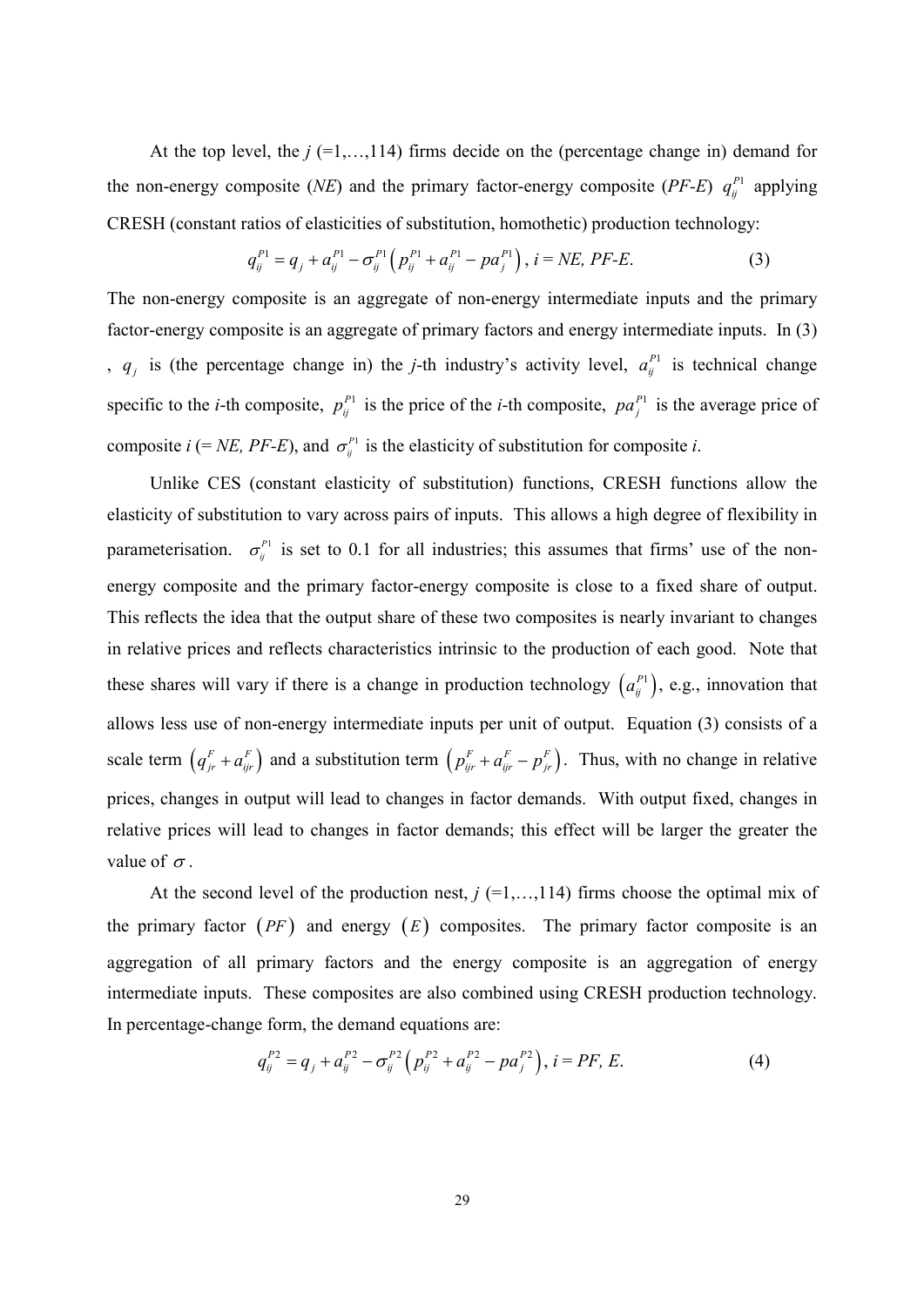At the top level, the  $j$  (=1,...,114) firms decide on the (percentage change in) demand for the non-energy composite (NE) and the primary factor-energy composite (PF-E)  $q_{ij}^{P1}$  applying CRESH (constant ratios of elasticities of substitution, homothetic) production technology:

$$
q_{ij}^{P1} = q_j + a_{ij}^{P1} - \sigma_{ij}^{P1} \left( p_{ij}^{P1} + a_{ij}^{P1} - p a_j^{P1} \right), i = NE, PF-E.
$$
 (3)

The non-energy composite is an aggregate of non-energy intermediate inputs and the primary factor-energy composite is an aggregate of primary factors and energy intermediate inputs. In (3) ,  $q_i$  is (the percentage change in) the *j*-th industry's activity level,  $a_i^{p_1}$  is technical change specific to the *i*-th composite,  $p_{ij}^{P_1}$  is the price of the *i*-th composite,  $pa_j^{P_1}$  is the average price of composite  $i$  (= NE, PF-E), and  $\sigma_{ij}^{P_1}$  is the elasticity of substitution for composite i.

Unlike CES (constant elasticity of substitution) functions, CRESH functions allow the elasticity of substitution to vary across pairs of inputs. This allows a high degree of flexibility in parameterisation.  $\sigma_{ii}^{P_1}$  is set to 0.1 for all industries; this assumes that firms' use of the nonenergy composite and the primary factor-energy composite is close to a fixed share of output. This reflects the idea that the output share of these two composites is nearly invariant to changes in relative prices and reflects characteristics intrinsic to the production of each good. Note that these shares will vary if there is a change in production technology  $(a_{ij}^{P_1})$ , e.g., innovation that allows less use of non-energy intermediate inputs per unit of output. Equation (3) consists of a scale term  $(q_{jr}^F + a_{jr}^F)$  and a substitution term  $(p_{jr}^F + a_{jr}^F - p_{jr}^F)$ . Thus, with no change in relative prices, changes in output will lead to changes in factor demands. With output fixed, changes in relative prices will lead to changes in factor demands; this effect will be larger the greater the value of  $\sigma$ .

At the second level of the production nest,  $j$  (=1,..., 114) firms choose the optimal mix of the primary factor  $(PF)$  and energy  $(E)$  composites. The primary factor composite is an aggregation of all primary factors and the energy composite is an aggregation of energy intermediate inputs. These composites are also combined using CRESH production technology. In percentage-change form, the demand equations are:

$$
q_{ij}^{P2} = q_j + a_{ij}^{P2} - \sigma_{ij}^{P2} \left( p_{ij}^{P2} + a_{ij}^{P2} - p a_j^{P2} \right), i = PF, E.
$$
 (4)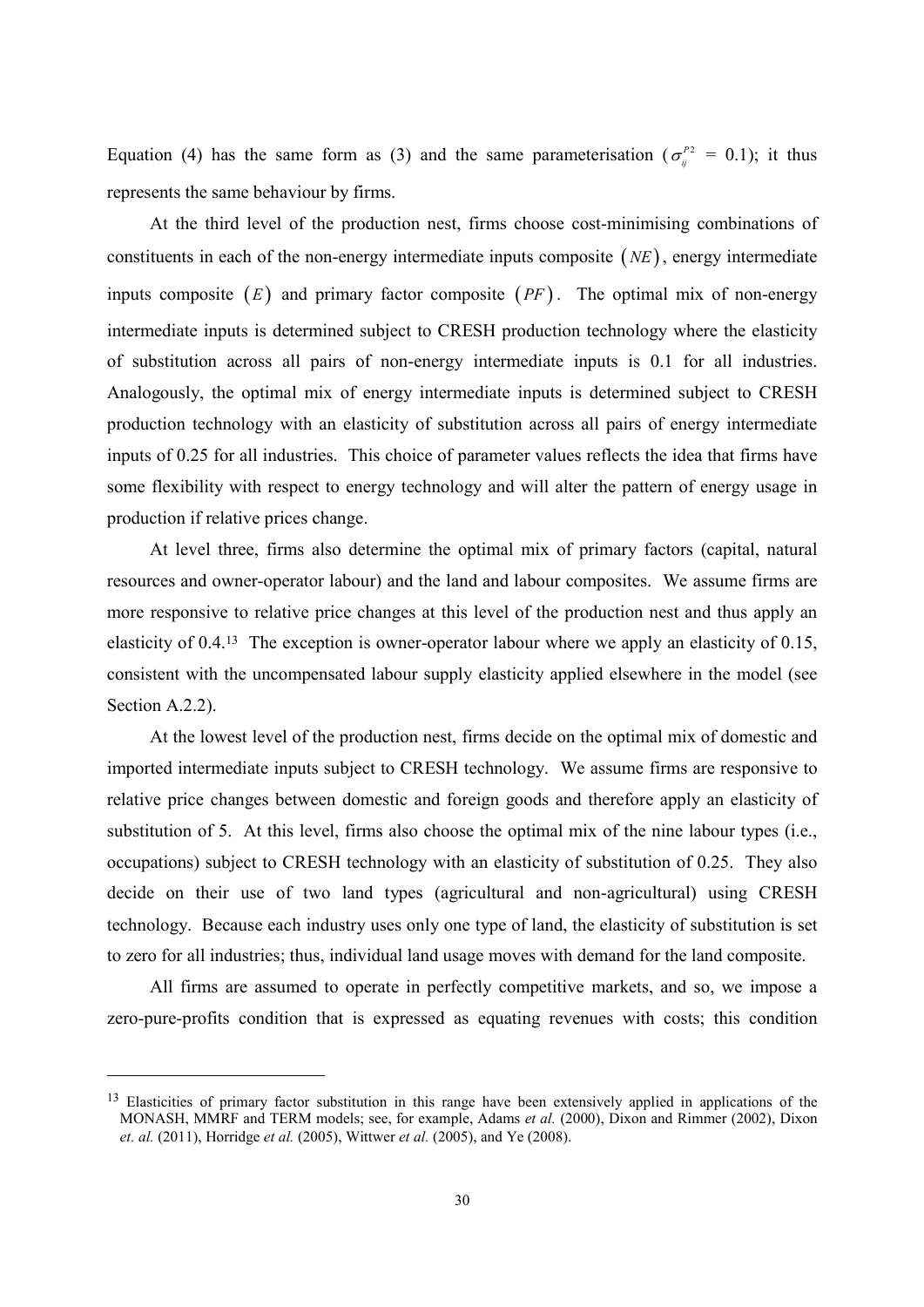Equation (4) has the same form as (3) and the same parameterisation ( $\sigma_i^{P2} = 0.1$ ); it thus represents the same behaviour by firms.

At the third level of the production nest, firms choose cost-minimising combinations of constituents in each of the non-energy intermediate inputs composite  $(NE)$ , energy intermediate inputs composite  $(E)$  and primary factor composite  $(PF)$ . The optimal mix of non-energy intermediate inputs is determined subject to CRESH production technology where the elasticity of substitution across all pairs of non-energy intermediate inputs is 0.1 for all industries. Analogously, the optimal mix of energy intermediate inputs is determined subject to CRESH production technology with an elasticity of substitution across all pairs of energy intermediate inputs of 0.25 for all industries. This choice of parameter values reflects the idea that firms have some flexibility with respect to energy technology and will alter the pattern of energy usage in production if relative prices change.

At level three, firms also determine the optimal mix of primary factors (capital, natural resources and owner-operator labour) and the land and labour composites. We assume firms are more responsive to relative price changes at this level of the production nest and thus apply an elasticity of  $0.4^{13}$  The exception is owner-operator labour where we apply an elasticity of 0.15, consistent with the uncompensated labour supply elasticity applied elsewhere in the model (see Section  $A.2.2$ ).

At the lowest level of the production nest, firms decide on the optimal mix of domestic and imported intermediate inputs subject to CRESH technology. We assume firms are responsive to relative price changes between domestic and foreign goods and therefore apply an elasticity of substitution of 5. At this level, firms also choose the optimal mix of the nine labour types (i.e., occupations) subject to CRESH technology with an elasticity of substitution of 0.25. They also decide on their use of two land types (agricultural and non-agricultural) using CRESH technology. Because each industry uses only one type of land, the elasticity of substitution is set to zero for all industries; thus, individual land usage moves with demand for the land composite.

All firms are assumed to operate in perfectly competitive markets, and so, we impose a zero-pure-profits condition that is expressed as equating revenues with costs; this condition

<sup>&</sup>lt;sup>13</sup> Elasticities of primary factor substitution in this range have been extensively applied in applications of the MONASH, MMRF and TERM models; see, for example, Adams et al. (2000), Dixon and Rimmer (2002), Dixon *et. al.* (2011), Horridge *et al.* (2005), Wittwer *et al.* (2005), and Ye (2008).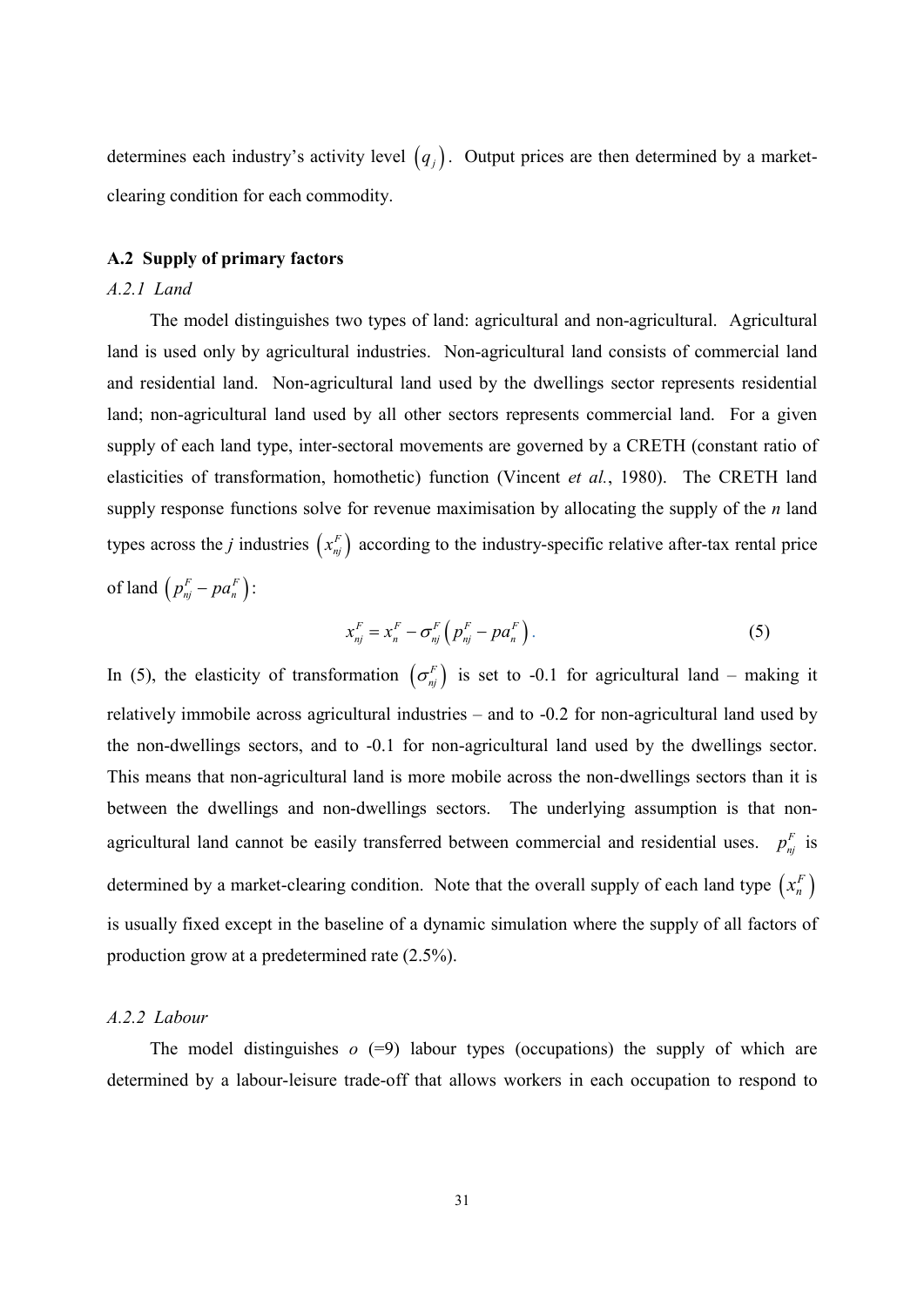determines each industry's activity level  $(q_i)$ . Output prices are then determined by a marketclearing condition for each commodity.

# A.2 Supply of primary factors

# $A.2.1$  Land

The model distinguishes two types of land: agricultural and non-agricultural. Agricultural land is used only by agricultural industries. Non-agricultural land consists of commercial land and residential land. Non-agricultural land used by the dwellings sector represents residential land; non-agricultural land used by all other sectors represents commercial land. For a given supply of each land type, inter-sectoral movements are governed by a CRETH (constant ratio of elasticities of transformation, homothetic) function (Vincent et al., 1980). The CRETH land supply response functions solve for revenue maximisation by allocating the supply of the  $n$  land types across the *j* industries  $(x_{nj}^F)$  according to the industry-specific relative after-tax rental price of land  $\left(p_{ni}^F - pa_n^F\right)$ :

$$
x_{nj}^F = x_n^F - \sigma_{nj}^F \left( p_{nj}^F - p a_n^F \right).
$$
 (5)

In (5), the elasticity of transformation  $(\sigma_{ni}^F)$  is set to -0.1 for agricultural land – making it relatively immobile across agricultural industries – and to -0.2 for non-agricultural land used by the non-dwellings sectors, and to -0.1 for non-agricultural land used by the dwellings sector. This means that non-agricultural land is more mobile across the non-dwellings sectors than it is between the dwellings and non-dwellings sectors. The underlying assumption is that nonagricultural land cannot be easily transferred between commercial and residential uses.  $p_{ni}^F$  is determined by a market-clearing condition. Note that the overall supply of each land type  $(x_n^F)$ is usually fixed except in the baseline of a dynamic simulation where the supply of all factors of production grow at a predetermined rate  $(2.5\%)$ .

# A.2.2 Labour

The model distinguishes  $o$  (=9) labour types (occupations) the supply of which are determined by a labour-leisure trade-off that allows workers in each occupation to respond to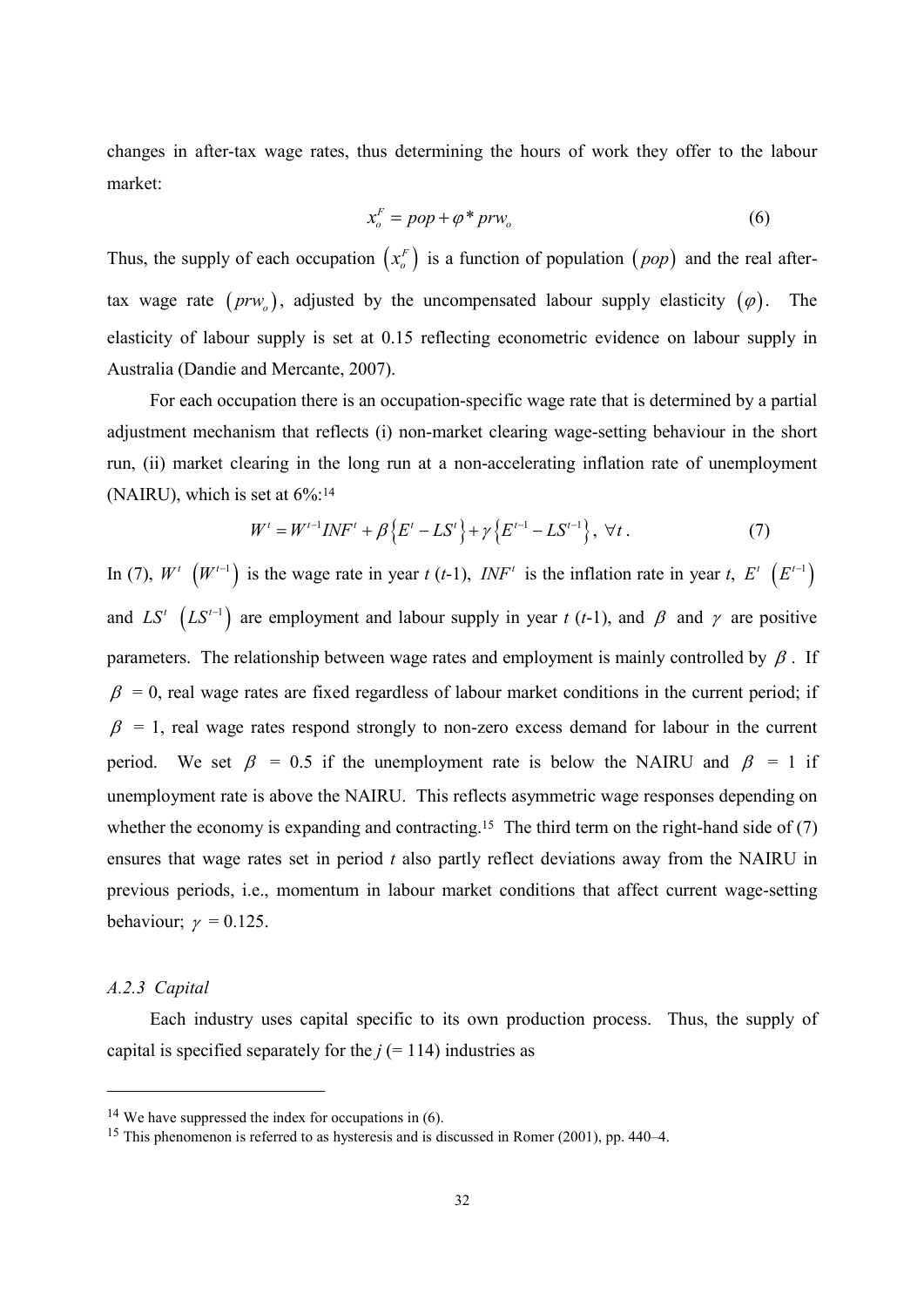changes in after-tax wage rates, thus determining the hours of work they offer to the labour market:

$$
x_o^F = pop + \varphi^* \, prw_o \tag{6}
$$

Thus, the supply of each occupation  $(x_0^F)$  is a function of population  $(pop)$  and the real aftertax wage rate  $(prw_0)$ , adjusted by the uncompensated labour supply elasticity  $(\varphi)$ . The elasticity of labour supply is set at 0.15 reflecting econometric evidence on labour supply in Australia (Dandie and Mercante, 2007).

For each occupation there is an occupation-specific wage rate that is determined by a partial adjustment mechanism that reflects (i) non-market clearing wage-setting behaviour in the short run, (ii) market clearing in the long run at a non-accelerating inflation rate of unemployment (NAIRU), which is set at  $6\%$ :<sup>14</sup>

$$
W^{t} = W^{t-1}INF^{t} + \beta \{ E^{t} - LS^{t} \} + \gamma \{ E^{t-1} - LS^{t-1} \}, \ \forall t.
$$
 (7)

In (7),  $W^t$   $(W^{t-1})$  is the wage rate in year t (t-1),  $INF^t$  is the inflation rate in year t,  $E^t$   $(E^{t-1})$ and  $LS^{t}$   $(LS^{t-1})$  are employment and labour supply in year t (t-1), and  $\beta$  and  $\gamma$  are positive parameters. The relationship between wage rates and employment is mainly controlled by  $\beta$ . If  $\beta$  = 0, real wage rates are fixed regardless of labour market conditions in the current period; if  $\beta$  = 1, real wage rates respond strongly to non-zero excess demand for labour in the current period. We set  $\beta$  = 0.5 if the unemployment rate is below the NAIRU and  $\beta$  = 1 if unemployment rate is above the NAIRU. This reflects asymmetric wage responses depending on whether the economy is expanding and contracting.<sup>15</sup> The third term on the right-hand side of  $(7)$ ensures that wage rates set in period t also partly reflect deviations away from the NAIRU in previous periods, i.e., momentum in labour market conditions that affect current wage-setting behaviour;  $\gamma = 0.125$ .

#### A.2.3 Capital

Each industry uses capital specific to its own production process. Thus, the supply of capital is specified separately for the  $j (= 114)$  industries as

 $14$  We have suppressed the index for occupations in (6).

<sup>&</sup>lt;sup>15</sup> This phenomenon is referred to as hysteresis and is discussed in Romer  $(2001)$ , pp. 440–4.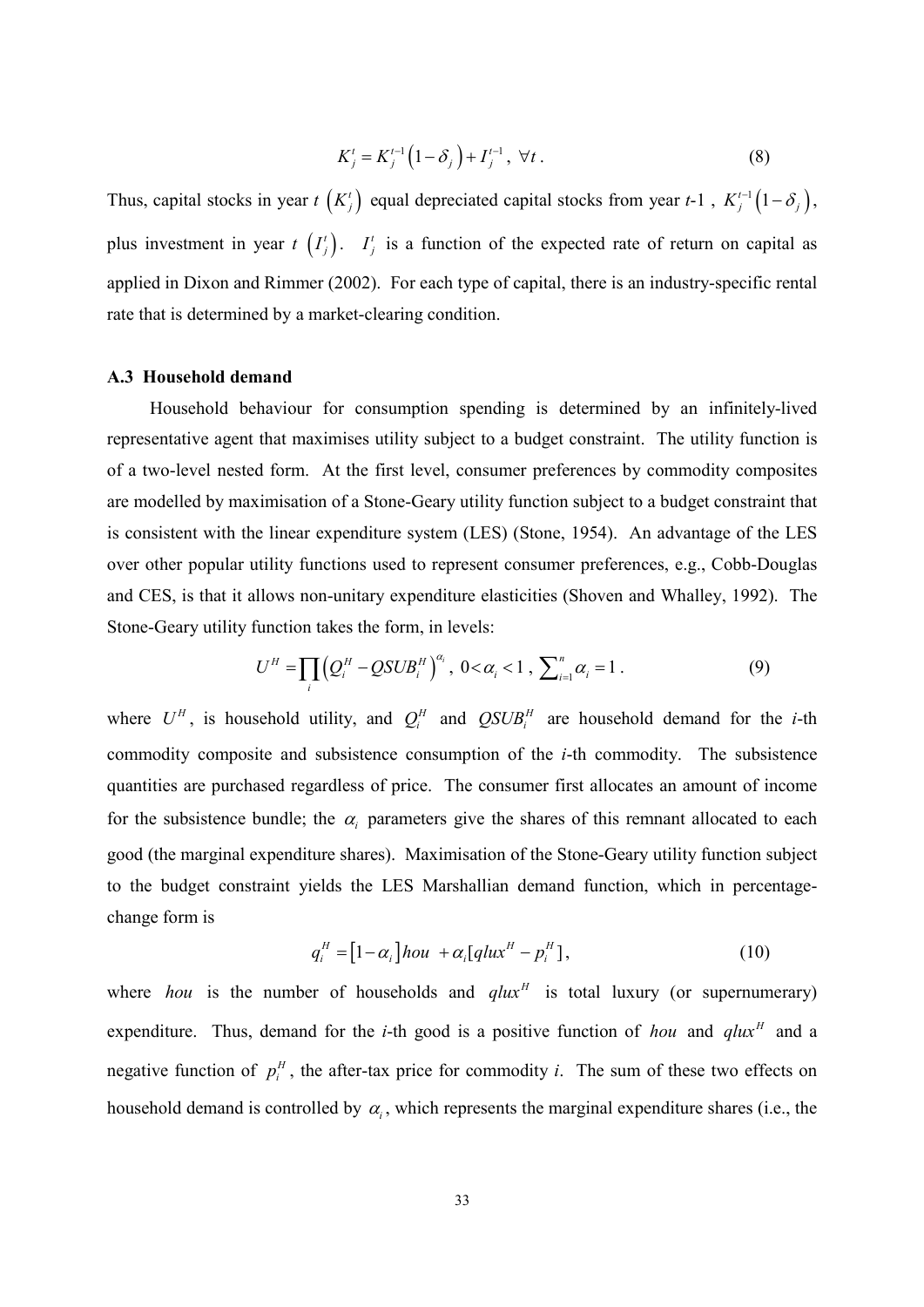$$
K_j^t = K_j^{t-1} \left( 1 - \delta_j \right) + I_j^{t-1}, \ \forall t \,.
$$
 (8)

Thus, capital stocks in year  $t(K_j)$  equal depreciated capital stocks from year  $t-1$ ,  $K_j^{t-1}(1-\delta_j)$ , plus investment in year  $t(T_j)$ .  $T_j$  is a function of the expected rate of return on capital as applied in Dixon and Rimmer (2002). For each type of capital, there is an industry-specific rental rate that is determined by a market-clearing condition.

#### A.3 Household demand

Household behaviour for consumption spending is determined by an infinitely-lived representative agent that maximises utility subject to a budget constraint. The utility function is of a two-level nested form. At the first level, consumer preferences by commodity composites are modelled by maximisation of a Stone-Geary utility function subject to a budget constraint that is consistent with the linear expenditure system (LES) (Stone, 1954). An advantage of the LES over other popular utility functions used to represent consumer preferences, e.g., Cobb-Douglas and CES, is that it allows non-unitary expenditure elasticities (Shoven and Whalley, 1992). The Stone-Geary utility function takes the form, in levels:

$$
U^H = \prod_i \left( Q_i^H - QSUB_i^H \right)^{\alpha_i}, \ 0 < \alpha_i < 1, \ \sum_{i=1}^n \alpha_i = 1 \ . \tag{9}
$$

where  $U^H$ , is household utility, and  $Q_i^H$  and  $QSUB_i^H$  are household demand for the *i*-th commodity composite and subsistence consumption of the *i*-th commodity. The subsistence quantities are purchased regardless of price. The consumer first allocates an amount of income for the subsistence bundle; the  $\alpha_i$  parameters give the shares of this remnant allocated to each good (the marginal expenditure shares). Maximisation of the Stone-Geary utility function subject to the budget constraint yields the LES Marshallian demand function, which in percentagechange form is

$$
q_i^H = [1 - \alpha_i] \text{hou } + \alpha_i [q \text{lux}^H - p_i^H], \qquad (10)
$$

where *hou* is the number of households and  $qlux<sup>H</sup>$  is total luxury (or supernumerary) expenditure. Thus, demand for the *i*-th good is a positive function of *hou* and *glux<sup>H</sup>* and a negative function of  $p_i^H$ , the after-tax price for commodity *i*. The sum of these two effects on household demand is controlled by  $\alpha_i$ , which represents the marginal expenditure shares (i.e., the